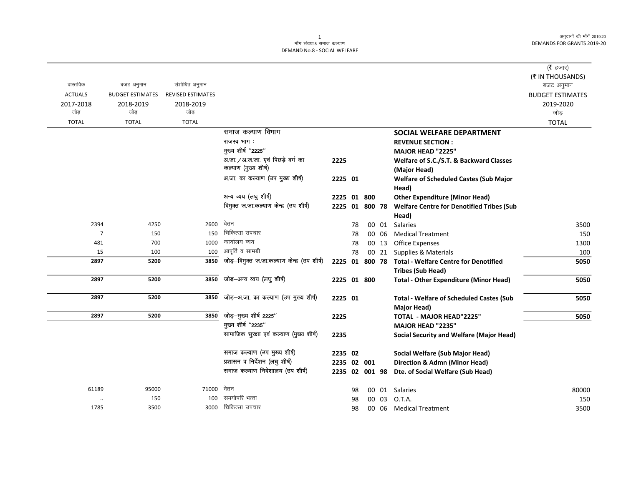#### ्<br>माँग संख्या.8 समाज कल्याण DEMAND No.8 - SOCIAL WELFARE

|                |                         |                          |                                             |                |    |       |                                                      | ( <b>रै</b> हजार)       |
|----------------|-------------------------|--------------------------|---------------------------------------------|----------------|----|-------|------------------------------------------------------|-------------------------|
|                |                         |                          |                                             |                |    |       |                                                      | (₹ IN THOUSANDS)        |
| वास्तविक       | बजट अनुमान              | संशोधित अनुमान           |                                             |                |    |       |                                                      | बजट अनुमान              |
| <b>ACTUALS</b> | <b>BUDGET ESTIMATES</b> | <b>REVISED ESTIMATES</b> |                                             |                |    |       |                                                      | <b>BUDGET ESTIMATES</b> |
| 2017-2018      | 2018-2019               | 2018-2019                |                                             |                |    |       |                                                      | 2019-2020               |
| जोड़           | जोड़                    | जोड़                     |                                             |                |    |       |                                                      | जोड़                    |
| <b>TOTAL</b>   | <b>TOTAL</b>            | <b>TOTAL</b>             |                                             |                |    |       |                                                      | <b>TOTAL</b>            |
|                |                         |                          | समाज कल्याण विभाग                           |                |    |       | SOCIAL WELFARE DEPARTMENT                            |                         |
|                |                         |                          | राजस्व भाग:                                 |                |    |       | <b>REVENUE SECTION:</b>                              |                         |
|                |                         |                          | मुख्य शीर्ष "2225"                          |                |    |       | <b>MAJOR HEAD "2225"</b>                             |                         |
|                |                         |                          | अ.जा. / अ.ज.जा. एवं पिछड़े वर्ग का          | 2225           |    |       | Welfare of S.C./S.T. & Backward Classes              |                         |
|                |                         |                          | कल्याण (मुख्य शीर्ष)                        |                |    |       | (Major Head)                                         |                         |
|                |                         |                          | अ.जा. का कल्याण (उप मुख्य शीर्ष)            | 2225 01        |    |       | <b>Welfare of Scheduled Castes (Sub Major</b>        |                         |
|                |                         |                          |                                             |                |    |       | Head)                                                |                         |
|                |                         |                          | अन्य व्यय (लघु शीर्ष)                       | 2225 01 800    |    |       | <b>Other Expenditure (Minor Head)</b>                |                         |
|                |                         |                          | विमुक्त ज.जा.कल्याण केन्द्र (उप शीर्ष)      | 2225 01 800 78 |    |       | <b>Welfare Centre for Denotified Tribes (Sub</b>     |                         |
|                |                         |                          |                                             |                |    |       | Head)                                                |                         |
| 2394           | 4250                    | 2600 वेतन                |                                             |                | 78 | 00 01 | <b>Salaries</b>                                      | 3500                    |
| $\overline{7}$ | 150                     | 150                      | चिकित्सा उपचार                              |                | 78 | 00 06 | <b>Medical Treatment</b>                             | 150                     |
| 481            | 700                     | 1000                     | कार्यालय व्यय                               |                | 78 | 00 13 | <b>Office Expenses</b>                               | 1300                    |
| 15             | 100                     | 100                      | आपूर्ति व सामग्री                           |                | 78 | 00 21 | Supplies & Materials                                 | 100                     |
| 2897           | 5200                    | 3850                     | जोड़-विमुक्त ज.जा.कल्याण केन्द्र (उप शीर्ष) |                |    |       | 2225 01 800 78 Total - Welfare Centre for Denotified | 5050                    |
|                |                         |                          |                                             |                |    |       | <b>Tribes (Sub Head)</b>                             |                         |
| 2897           | 5200                    | 3850                     | जोड़–अन्य व्यय (लघु शीर्ष)                  | 2225 01 800    |    |       | <b>Total - Other Expenditure (Minor Head)</b>        | 5050                    |
|                |                         |                          |                                             |                |    |       |                                                      |                         |
| 2897           | 5200                    | 3850                     | जोड़-अ.जा. का कल्याण (उप मुख्य शीर्ष)       | 2225 01        |    |       | <b>Total - Welfare of Scheduled Castes (Sub</b>      | 5050                    |
|                |                         |                          |                                             |                |    |       | Major Head)                                          |                         |
| 2897           | 5200                    | 3850                     | जोड़-मुख्य शीर्ष 2225"                      | 2225           |    |       | <b>TOTAL - MAJOR HEAD"2225"</b>                      | 5050                    |
|                |                         |                          | मुख्य शीर्ष "2235"                          |                |    |       | <b>MAJOR HEAD "2235"</b>                             |                         |
|                |                         |                          | सामाजिक सुरक्षा एवं कल्याण (मुख्य शीर्ष)    | 2235           |    |       | <b>Social Security and Welfare (Major Head)</b>      |                         |
|                |                         |                          | समाज कल्याण (उप मुख्य शीर्ष)                | 2235 02        |    |       | Social Welfare (Sub Major Head)                      |                         |
|                |                         |                          | प्रशासन व निर्देशन (लघु शीर्ष)              | 2235 02 001    |    |       | <b>Direction &amp; Admn (Minor Head)</b>             |                         |
|                |                         |                          | समाज कल्याण निदेशालय (उप शीर्ष)             | 2235 02 001 98 |    |       | Dte. of Social Welfare (Sub Head)                    |                         |
| 61189          | 95000                   | 71000                    | वेतन                                        |                | 98 | 00 01 | Salaries                                             | 80000                   |
| $\ldots$       | 150                     | 100                      | समयोपरि भत्ता                               |                | 98 |       | 00 03 O.T.A.                                         | 150                     |
| 1785           | 3500                    |                          | 3000 चिकित्सा उपचार                         |                | 98 | 00 06 | <b>Medical Treatment</b>                             | 3500                    |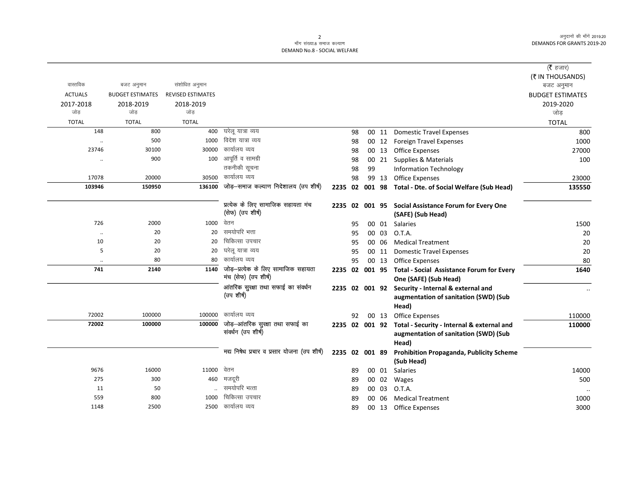# 2<br>माँग संख्या.8 समाज कल्याण DEMAND No.8 - SOCIAL WELFARE

|                      |                         |                          |                                             |                |    |    |       |                                                           | ( $\bar{\tau}$ हजार)           |
|----------------------|-------------------------|--------------------------|---------------------------------------------|----------------|----|----|-------|-----------------------------------------------------------|--------------------------------|
| वास्तविक             | बजट अनुमान              | संशोधित अनुमान           |                                             |                |    |    |       |                                                           | (₹ IN THOUSANDS)<br>बजट अनुमान |
| <b>ACTUALS</b>       | <b>BUDGET ESTIMATES</b> | <b>REVISED ESTIMATES</b> |                                             |                |    |    |       |                                                           | <b>BUDGET ESTIMATES</b>        |
| 2017-2018            | 2018-2019               | 2018-2019                |                                             |                |    |    |       |                                                           | 2019-2020                      |
| जोड                  | जोड                     | जोड                      |                                             |                |    |    |       |                                                           | जोड़                           |
| <b>TOTAL</b>         | <b>TOTAL</b>            | <b>TOTAL</b>             |                                             |                |    |    |       |                                                           | <b>TOTAL</b>                   |
| 148                  | 800                     | 400                      | घरेलू यात्रा व्यय                           |                | 98 |    | 00 11 | <b>Domestic Travel Expenses</b>                           | 800                            |
| $\ddot{\phantom{0}}$ | 500                     | 1000                     | विदेश यात्रा व्यय                           |                | 98 |    |       | 00 12 Foreign Travel Expenses                             | 1000                           |
| 23746                | 30100                   | 30000                    | कार्यालय व्यय                               |                | 98 |    |       | 00 13 Office Expenses                                     | 27000                          |
| $\ddot{\phantom{a}}$ | 900                     | 100                      | आपूर्ति व सामग्री                           |                | 98 |    |       | 00 21 Supplies & Materials                                | 100                            |
|                      |                         |                          | तकनीकी सूचना                                |                | 98 | 99 |       | <b>Information Technology</b>                             |                                |
| 17078                | 20000                   | 30500                    | कार्यालय व्यय                               |                | 98 |    |       | 99 13 Office Expenses                                     | 23000                          |
| 103946               | 150950                  | 136100                   | जोड़-समाज कल्याण निदेशालय (उप शीर्ष)        |                |    |    |       | 2235 02 001 98 Total - Dte. of Social Welfare (Sub Head)  | 135550                         |
|                      |                         |                          | प्रत्येक के लिए सामाजिक सहायता मंच          |                |    |    |       | 2235 02 001 95 Social Assistance Forum for Every One      |                                |
|                      |                         |                          | (सेफ) (उप शीर्ष)                            |                |    |    |       | (SAFE) (Sub Head)                                         |                                |
| 726                  | 2000                    | 1000                     | वेतन                                        |                | 95 |    |       | 00 01 Salaries                                            | 1500                           |
| $\ddotsc$            | 20                      | 20                       | समयोपरि भत्ता                               |                | 95 |    | 00 03 | O.T.A.                                                    | 20                             |
| 10                   | 20                      | 20                       | चिकित्सा उपचार                              |                | 95 |    | 00 06 | <b>Medical Treatment</b>                                  | 20                             |
| 5                    | 20                      | 20                       | घरेलू यात्रा व्यय                           |                | 95 |    | 00 11 | <b>Domestic Travel Expenses</b>                           | 20                             |
|                      | 80                      | 80                       | कार्यालय व्यय                               |                | 95 |    |       | 00 13 Office Expenses                                     | 80                             |
| 741                  | 2140                    | 1140                     | जोड़–प्रत्येक के लिए सामाजिक सहायता         |                |    |    |       | 2235 02 001 95 Total - Social Assistance Forum for Every  | 1640                           |
|                      |                         |                          | मंच (सेफ) (उप शीर्ष)                        |                |    |    |       | One (SAFE) (Sub Head)                                     |                                |
|                      |                         |                          | आंतरिक सुरक्षा तथा सफाई का संवर्धन          |                |    |    |       | 2235 02 001 92 Security - Internal & external and         |                                |
|                      |                         |                          | (उप शीर्ष)                                  |                |    |    |       | augmentation of sanitation (SWD) (Sub                     |                                |
|                      |                         |                          |                                             |                |    |    |       | Head)                                                     |                                |
| 72002                | 100000                  | 100000                   | कार्यालय व्यय                               |                | 92 |    | 00 13 | Office Expenses                                           | 110000                         |
| 72002                | 100000                  | 100000                   | जोड़-आंतरिक सुरक्षा तथा सफाई का             |                |    |    |       | 2235 02 001 92 Total - Security - Internal & external and | 110000                         |
|                      |                         |                          | संवर्धन (उप शीर्ष)                          |                |    |    |       | augmentation of sanitation (SWD) (Sub                     |                                |
|                      |                         |                          |                                             |                |    |    |       | Head)                                                     |                                |
|                      |                         |                          | मद्य निषेध प्रचार व प्रसार योजना (उप शीर्ष) | 2235 02 001 89 |    |    |       | <b>Prohibition Propaganda, Publicity Scheme</b>           |                                |
|                      |                         |                          |                                             |                |    |    |       | (Sub Head)                                                |                                |
| 9676                 | 16000                   | 11000                    | वेतन                                        |                | 89 |    | 00 01 | <b>Salaries</b>                                           | 14000                          |
| 275                  | 300                     | 460                      | मजदूरी                                      |                | 89 |    |       | 00 02 Wages                                               | 500                            |
| 11                   | 50                      |                          | समयोपरि भत्ता                               |                | 89 |    |       | 00 03 O.T.A.                                              |                                |
| 559                  | 800                     | 1000                     | चिकित्सा उपचार                              |                | 89 | 00 | 06    | <b>Medical Treatment</b>                                  | 1000                           |
| 1148                 | 2500                    | 2500                     | कार्यालय व्यय                               |                | 89 |    |       | 00 13 Office Expenses                                     | 3000                           |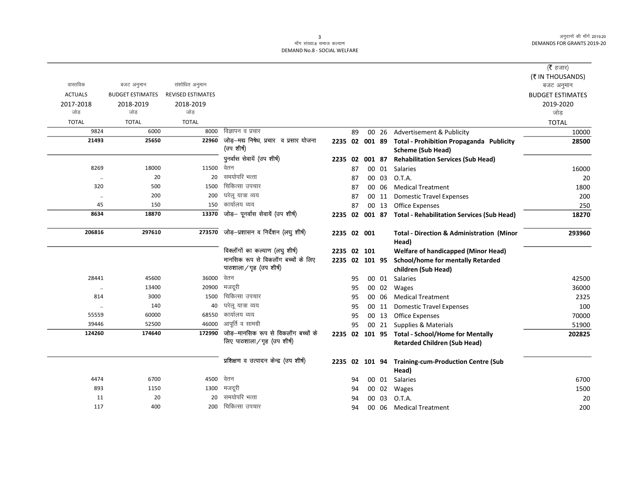#### ्<br>माँग संख्या.8 समाज कल्याण DEMAND No.8 - SOCIAL WELFARE

|                |                         |                          |                                            |                |    |       |                                                           | ( $\bar{\tau}$ हजार)    |
|----------------|-------------------------|--------------------------|--------------------------------------------|----------------|----|-------|-----------------------------------------------------------|-------------------------|
|                |                         |                          |                                            |                |    |       |                                                           | (₹ IN THOUSANDS)        |
| वास्तविक       | बजट अनुमान              | संशोधित अनुमान           |                                            |                |    |       |                                                           | बजट अनुमान              |
| <b>ACTUALS</b> | <b>BUDGET ESTIMATES</b> | <b>REVISED ESTIMATES</b> |                                            |                |    |       |                                                           | <b>BUDGET ESTIMATES</b> |
| 2017-2018      | 2018-2019               | 2018-2019                |                                            |                |    |       |                                                           | 2019-2020               |
| जोड            | जोड                     | जोड                      |                                            |                |    |       |                                                           | जोड़                    |
| <b>TOTAL</b>   | <b>TOTAL</b>            | <b>TOTAL</b>             |                                            |                |    |       |                                                           | <b>TOTAL</b>            |
| 9824           | 6000                    | 8000                     | विज्ञापन व प्रचार                          |                | 89 | 00 26 | Advertisement & Publicity                                 | 10000                   |
| 21493          | 25650                   | 22960                    | जोड़-मद्य निषेध, प्रचार व प्रसार योजना     | 2235 02 001 89 |    |       | <b>Total - Prohibition Propaganda Publicity</b>           | 28500                   |
|                |                         |                          | (उप शीर्ष)                                 |                |    |       | <b>Scheme (Sub Head)</b>                                  |                         |
|                |                         |                          | पुनर्वास सेवायें (उप शीर्ष)                |                |    |       | 2235 02 001 87 Rehabilitation Services (Sub Head)         |                         |
| 8269           | 18000                   | 11500                    | वेतन                                       |                | 87 | 00 01 | Salaries                                                  | 16000                   |
| $\cdot\cdot$   | 20                      | 20                       | समयोपरि भत्ता                              |                | 87 | 00 03 | O.T.A.                                                    | 20                      |
| 320            | 500                     | 1500                     | चिकित्सा उपचार                             |                | 87 | 00 06 | <b>Medical Treatment</b>                                  | 1800                    |
| $\ddotsc$      | 200                     | 200                      | घरेलू यात्रा व्यय                          |                | 87 | 00 11 | <b>Domestic Travel Expenses</b>                           | 200                     |
| 45             | 150                     | 150                      | कार्यालय व्यय                              |                | 87 | 00 13 | <b>Office Expenses</b>                                    | 250                     |
| 8634           | 18870                   | 13370                    | जोड़— पूनर्वास सेवायें (उप शीर्ष)          |                |    |       | 2235 02 001 87 Total - Rehabilitation Services (Sub Head) | 18270                   |
| 206816         | 297610                  |                          | 273570 जोड़-प्रशासन व निर्देशन (लघु शीर्ष) | 2235 02 001    |    |       | <b>Total - Direction &amp; Administration (Minor</b>      | 293960                  |
|                |                         |                          |                                            |                |    |       | Head)                                                     |                         |
|                |                         |                          | विक्लॉगों का कल्याण (लघु शीर्ष)            | 2235 02 101    |    |       | <b>Welfare of handicapped (Minor Head)</b>                |                         |
|                |                         |                          | मानसिक रूप से विकलॉग बच्चों के लिए         | 2235 02 101 95 |    |       | <b>School/home for mentally Retarded</b>                  |                         |
|                |                         |                          | पाठशाला/गृह (उप शीर्ष)                     |                |    |       | children (Sub Head)                                       |                         |
| 28441          | 45600                   | 36000                    | वेतन                                       |                | 95 |       | 00 01 Salaries                                            | 42500                   |
| $\cdot\cdot$   | 13400                   | 20900                    | मजदूरी                                     |                | 95 |       | 00 02 Wages                                               | 36000                   |
| 814            | 3000                    | 1500                     | चिकित्सा उपचार                             |                | 95 | 00 06 | <b>Medical Treatment</b>                                  | 2325                    |
| $\ddotsc$      | 140                     | 40                       | घरेलू यात्रा व्यय                          |                | 95 | 00 11 | <b>Domestic Travel Expenses</b>                           | 100                     |
| 55559          | 60000                   | 68550                    | कार्यालय व्यय                              |                | 95 | 00 13 | <b>Office Expenses</b>                                    | 70000                   |
| 39446          | 52500                   | 46000                    | आपूर्ति व सामग्री                          |                | 95 | 00 21 | Supplies & Materials                                      | 51900                   |
| 124260         | 174640                  | 172990                   | जोड़–मानसिक रूप से विकलॉग बच्चों के        |                |    |       | 2235 02 101 95 Total - School/Home for Mentally           | 202825                  |
|                |                         |                          | लिए पाठशाला/गृह (उप शीर्ष)                 |                |    |       | <b>Retarded Children (Sub Head)</b>                       |                         |
|                |                         |                          | प्रशिक्षण व उत्पादन केन्द्र (उप शीर्ष)     |                |    |       | 2235 02 101 94 Training-cum-Production Centre (Sub        |                         |
|                |                         |                          |                                            |                |    |       | Head)                                                     |                         |
| 4474           | 6700                    | 4500                     | वेतन                                       |                | 94 | 00 01 | Salaries                                                  | 6700                    |
| 893            | 1150                    | 1300                     | मजदूरी                                     |                | 94 |       | 00 02 Wages                                               | 1500                    |
| 11             | 20                      | 20                       | समयोपरि भत्ता                              |                | 94 | 00 03 | O.T.A.                                                    | 20                      |
| 117            | 400                     | 200                      | चिकित्सा उपचार                             |                | 94 |       | 00 06 Medical Treatment                                   | 200                     |
|                |                         |                          |                                            |                |    |       |                                                           |                         |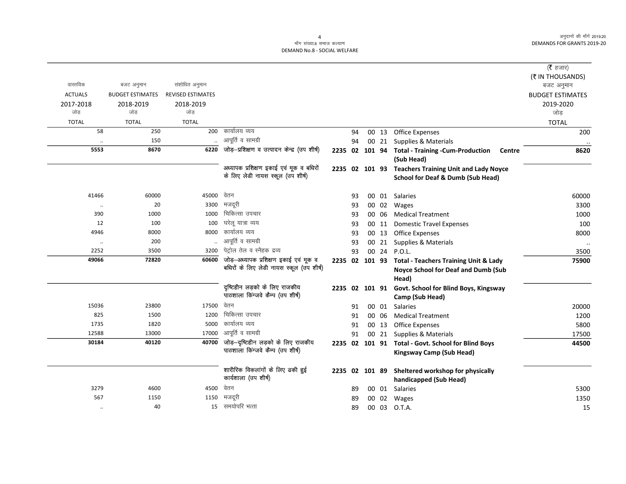#### माँग संख्या.8 समाज कल्याण DEMAND No.8 - SOCIAL WELFARE

|                |                         |                          |                                             |                |    |       |                                                            | (रै हजार)               |
|----------------|-------------------------|--------------------------|---------------------------------------------|----------------|----|-------|------------------------------------------------------------|-------------------------|
|                |                         |                          |                                             |                |    |       |                                                            | (₹ IN THOUSANDS)        |
| वास्तविक       | बजट अनुमान              | संशोधित अनुमान           |                                             |                |    |       |                                                            | बजट अनुमान              |
| <b>ACTUALS</b> | <b>BUDGET ESTIMATES</b> | <b>REVISED ESTIMATES</b> |                                             |                |    |       |                                                            | <b>BUDGET ESTIMATES</b> |
| 2017-2018      | 2018-2019               | 2018-2019                |                                             |                |    |       |                                                            | 2019-2020               |
| जोड            | जोड                     | जोड                      |                                             |                |    |       |                                                            | जोड़                    |
| <b>TOTAL</b>   | <b>TOTAL</b>            | <b>TOTAL</b>             |                                             |                |    |       |                                                            | <b>TOTAL</b>            |
| 58             | 250                     | 200                      | कार्यालय व्यय                               |                | 94 |       | 00 13 Office Expenses                                      | 200                     |
|                | 150                     |                          | आपूर्ति व सामग्री                           |                | 94 |       | 00 21 Supplies & Materials                                 |                         |
| 5553           | 8670                    | 6220                     | जोड़-प्रशिक्षण व उत्पादन केन्द्र (उप शीर्ष) |                |    |       | 2235 02 101 94 Total - Training - Cum-Production<br>Centre | 8620                    |
|                |                         |                          |                                             |                |    |       | (Sub Head)                                                 |                         |
|                |                         |                          | अध्यापक प्रशिक्षण इकाई एवं मूक व बधिरों     |                |    |       | 2235 02 101 93 Teachers Training Unit and Lady Noyce       |                         |
|                |                         |                          | के लिए लेडी नायस स्कूल (उप शीर्ष)           |                |    |       | School for Deaf & Dumb (Sub Head)                          |                         |
| 41466          | 60000                   | 45000                    | वेतन                                        |                | 93 |       | 00 01 Salaries                                             | 60000                   |
| $\ldots$       | 20                      | 3300                     | मजदूरी                                      |                | 93 | 00 02 | Wages                                                      | 3300                    |
| 390            | 1000                    | 1000                     | चिकित्सा उपचार                              |                | 93 | 00 06 | <b>Medical Treatment</b>                                   | 1000                    |
| 12             | 100                     | 100                      | घरेलू यात्रा व्यय                           |                | 93 | 00 11 | <b>Domestic Travel Expenses</b>                            | 100                     |
| 4946           | 8000                    | 8000                     | कार्यालय व्यय                               |                | 93 | 00 13 | <b>Office Expenses</b>                                     | 8000                    |
| $\cdot\cdot$   | 200                     |                          | आपूर्ति व सामग्री                           |                | 93 | 00 21 | Supplies & Materials                                       | $\ddotsc$               |
| 2252           | 3500                    | 3200                     | पेट्रोल तेल व स्नैहक द्रव्य                 |                | 93 | 00 24 | <b>P.O.L.</b>                                              | 3500                    |
| 49066          | 72820                   | 60600                    | जोड़-अध्यापक प्रशिक्षण इकाई एवं मूक व       |                |    |       | 2235 02 101 93 Total - Teachers Training Unit & Lady       | 75900                   |
|                |                         |                          | बधिरों के लिए लेडी नायस स्कूल (उप शीर्ष)    |                |    |       | Noyce School for Deaf and Dumb (Sub                        |                         |
|                |                         |                          |                                             |                |    |       | Head)                                                      |                         |
|                |                         |                          | दृष्टिहीन लड़को के लिए राजकीय               | 2235 02 101 91 |    |       | Govt. School for Blind Boys, Kingsway                      |                         |
|                |                         |                          | पाठशाला किंग्जवे कैम्प (उप शीर्ष)           |                |    |       | Camp (Sub Head)                                            |                         |
| 15036          | 23800                   | 17500                    | वेतन                                        |                | 91 | 00 01 | <b>Salaries</b>                                            | 20000                   |
| 825            | 1500                    | 1200                     | चिकित्सा उपचार                              |                | 91 | 00 06 | <b>Medical Treatment</b>                                   | 1200                    |
| 1735           | 1820                    | 5000                     | कार्यालय व्यय                               |                | 91 | 00 13 | <b>Office Expenses</b>                                     | 5800                    |
| 12588          | 13000                   | 17000                    | आपूर्ति व सामग्री                           |                | 91 | 00 21 | Supplies & Materials                                       | 17500                   |
| 30184          | 40120                   | 40700                    | जोड़-दृष्टिहीन लड़को के लिए राजकीय          |                |    |       | 2235 02 101 91 Total - Govt. School for Blind Boys         | 44500                   |
|                |                         |                          | पाठशाला किंग्जवे कैम्प (उप शीर्ष)           |                |    |       | <b>Kingsway Camp (Sub Head)</b>                            |                         |
|                |                         |                          | शारीरिक विकलांगों के लिए ढकी हुई            |                |    |       | 2235 02 101 89 Sheltered workshop for physically           |                         |
|                |                         |                          | कार्यशाला (उप शीर्ष)                        |                |    |       | handicapped (Sub Head)                                     |                         |
| 3279           | 4600                    | 4500                     | वेतन                                        |                | 89 | 00 01 | Salaries                                                   | 5300                    |
| 567            | 1150                    | 1150                     | मजदूरी                                      |                | 89 | 00 02 | Wages                                                      | 1350                    |
| $\cdot\cdot$   | 40                      |                          | 15 समयोपरि भत्ता                            |                | 89 |       | 00 03 O.T.A.                                               | 15                      |

 $\overline{4}$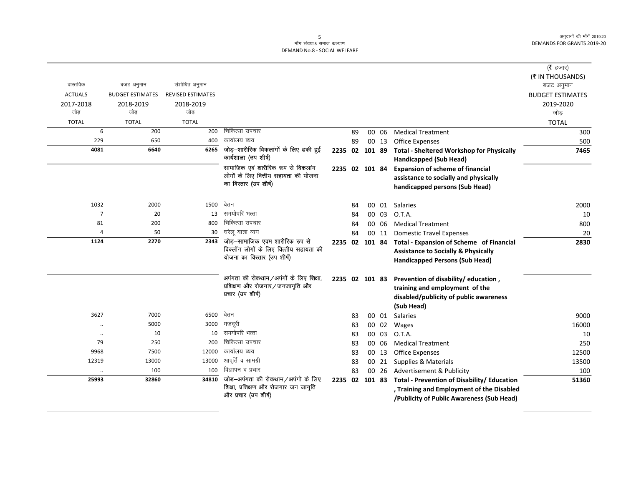## 5<br>माँग संख्या.8 समाज कल्याण DEMAND No.8 - SOCIAL WELFARE

|                      |                         |                          |                                                                             |                |    |        |       |                                                                                   | ( $\bar{\tau}$ हजार)    |
|----------------------|-------------------------|--------------------------|-----------------------------------------------------------------------------|----------------|----|--------|-------|-----------------------------------------------------------------------------------|-------------------------|
|                      |                         |                          |                                                                             |                |    |        |       |                                                                                   | (₹ IN THOUSANDS)        |
| वास्तविक             | बजट अनुमान              | संशोधित अनुमान           |                                                                             |                |    |        |       |                                                                                   | बजट अनुमान              |
| <b>ACTUALS</b>       | <b>BUDGET ESTIMATES</b> | <b>REVISED ESTIMATES</b> |                                                                             |                |    |        |       |                                                                                   | <b>BUDGET ESTIMATES</b> |
| 2017-2018            | 2018-2019               | 2018-2019                |                                                                             |                |    |        |       |                                                                                   | 2019-2020               |
| जोड                  | जोड                     | जोड                      |                                                                             |                |    |        |       |                                                                                   | जोड                     |
| <b>TOTAL</b>         | <b>TOTAL</b>            | <b>TOTAL</b>             |                                                                             |                |    |        |       |                                                                                   | <b>TOTAL</b>            |
| 6                    | 200                     | 200                      | चिकित्सा उपचार                                                              |                | 89 |        | 00 06 | <b>Medical Treatment</b>                                                          | 300                     |
| 229                  | 650                     | 400                      | कार्यालय व्यय                                                               |                | 89 |        | 00 13 | <b>Office Expenses</b>                                                            | 500                     |
| 4081                 | 6640                    | 6265                     | जोड़-शारीरिक विकलांगों के लिए ढकी हुई<br>कार्यशाला (उप शीर्ष)               | 2235 02        |    | 101 89 |       | <b>Total - Sheltered Workshop for Physically</b><br><b>Handicapped (Sub Head)</b> | 7465                    |
|                      |                         |                          | सामाजिक एवं शारीरिक रूप से विकलांग                                          | 2235 02 101 84 |    |        |       | <b>Expansion of scheme of financial</b>                                           |                         |
|                      |                         |                          | लोगों के लिए वित्तीय सहायता की योजना                                        |                |    |        |       | assistance to socially and physically                                             |                         |
|                      |                         |                          | का विस्तार (उप शीर्ष)                                                       |                |    |        |       | handicapped persons (Sub Head)                                                    |                         |
| 1032                 | 2000                    | 1500                     | वेतन                                                                        |                | 84 |        | 00 01 | <b>Salaries</b>                                                                   | 2000                    |
| $\overline{7}$       | 20                      | 13                       | समयोपरि भत्ता                                                               |                | 84 |        | 00 03 | O.T.A.                                                                            | 10                      |
| 81                   | 200                     | 800                      | चिकित्सा उपचार                                                              |                | 84 |        | 00 06 | <b>Medical Treatment</b>                                                          | 800                     |
| $\overline{4}$       | 50                      | 30                       | घरेलू यात्रा व्यय                                                           |                | 84 |        | 00 11 | <b>Domestic Travel Expenses</b>                                                   | 20                      |
| 1124                 | 2270                    | 2343                     | जोड़—सामाजिक एवम शारीरिक रुप से                                             | 2235 02        |    | 101 84 |       | Total - Expansion of Scheme of Financial                                          | 2830                    |
|                      |                         |                          | विक्लॉग लोगों के लिए वित्तीय सहायता की<br>योजना का विस्तार (उप शीर्ष)       |                |    |        |       | <b>Assistance to Socially &amp; Physically</b>                                    |                         |
|                      |                         |                          |                                                                             |                |    |        |       | <b>Handicapped Persons (Sub Head)</b>                                             |                         |
|                      |                         |                          | अपंगता की रोकथाम/अपंगों के लिए शिक्षा,                                      |                |    |        |       | 2235 02 101 83 Prevention of disability/education,                                |                         |
|                      |                         |                          | प्रशिक्षण और रोजगार/जनजागृति और                                             |                |    |        |       | training and employment of the                                                    |                         |
|                      |                         |                          | प्रचार (उप शीर्ष)                                                           |                |    |        |       | disabled/publicity of public awareness                                            |                         |
|                      |                         |                          |                                                                             |                |    |        |       | (Sub Head)                                                                        |                         |
| 3627                 | 7000                    | 6500                     | वेतन                                                                        |                | 83 |        | 00 01 | Salaries                                                                          | 9000                    |
| $\ddotsc$            | 5000                    | 3000                     | मजदूरी                                                                      |                | 83 |        | 00 02 | Wages                                                                             | 16000                   |
| $\cdot\cdot$         | 10                      | 10                       | समयोपरि भत्ता                                                               |                | 83 |        | 00 03 | O.T.A.                                                                            | 10                      |
| 79                   | 250                     | 200                      | चिकित्सा उपचार                                                              |                | 83 |        | 00 06 | <b>Medical Treatment</b>                                                          | 250                     |
| 9968                 | 7500                    | 12000                    | कार्यालय व्यय                                                               |                | 83 |        | 00 13 | <b>Office Expenses</b>                                                            | 12500                   |
| 12319                | 13000                   | 13000                    | आपूर्ति व सामग्री                                                           |                | 83 |        | 00 21 | <b>Supplies &amp; Materials</b>                                                   | 13500                   |
| $\ddot{\phantom{1}}$ | 100                     | 100                      | विज्ञापन व प्रचार                                                           |                | 83 |        | 00 26 | Advertisement & Publicity                                                         | 100                     |
| 25993                | 32860                   | 34810                    | जोड़-अपंगता की रोकथाम/अपंगो के लिए<br>शिक्षा, प्रशिक्षण और रोजगार जन जागृति | 2235 02 101 83 |    |        |       | Total - Prevention of Disability/ Education                                       | 51360                   |
|                      |                         |                          | और प्रचार (उप शीर्ष)                                                        |                |    |        |       | , Training and Employment of the Disabled                                         |                         |
|                      |                         |                          |                                                                             |                |    |        |       | /Publicity of Public Awareness (Sub Head)                                         |                         |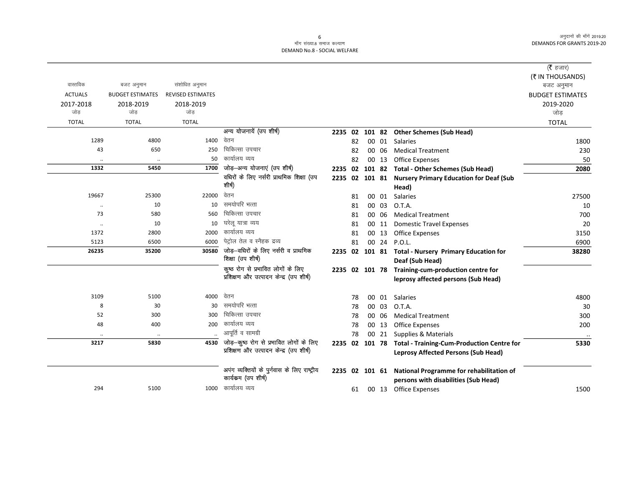### ्<br>माँग संख्या.8 समाज कल्याण DEMAND No.8 - SOCIAL WELFARE

|                      |                         |                          |                                              |                |    |                 |       |                                                        | ( <b>रै</b> हजार)       |
|----------------------|-------------------------|--------------------------|----------------------------------------------|----------------|----|-----------------|-------|--------------------------------------------------------|-------------------------|
|                      |                         |                          |                                              |                |    |                 |       |                                                        | (₹ IN THOUSANDS)        |
| वास्तविक             | बजट अनुमान              | संशोधित अनुमान           |                                              |                |    |                 |       |                                                        | बजट अनुमान              |
| <b>ACTUALS</b>       | <b>BUDGET ESTIMATES</b> | <b>REVISED ESTIMATES</b> |                                              |                |    |                 |       |                                                        | <b>BUDGET ESTIMATES</b> |
| 2017-2018            | 2018-2019               | 2018-2019                |                                              |                |    |                 |       |                                                        | 2019-2020               |
| जोड                  | जोड                     | जोड                      |                                              |                |    |                 |       |                                                        | जोड                     |
| <b>TOTAL</b>         | <b>TOTAL</b>            | <b>TOTAL</b>             |                                              |                |    |                 |       |                                                        | <b>TOTAL</b>            |
|                      |                         |                          | अन्य योजनायें (उप शीर्ष)                     | 2235 02        |    | 101 82          |       | <b>Other Schemes (Sub Head)</b>                        |                         |
| 1289                 | 4800                    | 1400                     | वेतन                                         |                | 82 |                 | 00 01 | Salaries                                               | 1800                    |
| 43                   | 650                     | 250                      | चिकित्सा उपचार                               |                | 82 |                 | 00 06 | <b>Medical Treatment</b>                               | 230                     |
|                      |                         | 50                       | कार्यालय व्यय                                |                | 82 |                 | 00 13 | <b>Office Expenses</b>                                 | 50                      |
| 1332                 | 5450                    | 1700                     | जोड़-अन्य योजनाएं (उप शीर्ष)                 | 2235 02        |    | 101 82          |       | <b>Total - Other Schemes (Sub Head)</b>                | 2080                    |
|                      |                         |                          | वधिरों के लिए नर्सरी प्राथमिक शिक्षा (उप     |                |    |                 |       | 2235 02 101 81 Nursery Primary Education for Deaf (Sub |                         |
|                      |                         |                          | शीर्ष)                                       |                |    |                 |       | Head)                                                  |                         |
| 19667                | 25300                   | 22000                    | वेतन                                         |                | 81 |                 | 00 01 | <b>Salaries</b>                                        | 27500                   |
|                      | 10                      | 10                       | समयोपरि भत्ता                                |                | 81 |                 | 00 03 | O.T.A.                                                 | 10                      |
| 73                   | 580                     | 560                      | चिकित्सा उपचार                               |                | 81 |                 | 00 06 | <b>Medical Treatment</b>                               | 700                     |
| $\ddot{\phantom{0}}$ | 10                      | 10                       | घरेलु यात्रा व्यय                            |                | 81 |                 | 00 11 | <b>Domestic Travel Expenses</b>                        | 20                      |
| 1372                 | 2800                    | 2000                     | कार्यालय व्यय                                |                | 81 |                 | 00 13 | <b>Office Expenses</b>                                 | 3150                    |
| 5123                 | 6500                    | 6000                     | पेट्रोल तेल व स्नैहक द्रव्य                  |                | 81 |                 | 00 24 | P.O.L.                                                 | 6900                    |
| 26235                | 35200                   | 30580                    | जोड़—वधिरों के लिए नर्सरी व प्राथमिक         |                |    |                 |       | 2235 02 101 81 Total - Nursery Primary Education for   | 38280                   |
|                      |                         |                          | शिक्षा (उप शीर्ष)                            |                |    |                 |       | Deaf (Sub Head)                                        |                         |
|                      |                         |                          | कूष्ठ रोग से प्रभावित लोगों के लिए           |                |    |                 |       | 2235 02 101 78 Training-cum-production centre for      |                         |
|                      |                         |                          | प्रशिक्षण और उत्पादन केन्द्र (उप शीर्ष)      |                |    |                 |       | leprosy affected persons (Sub Head)                    |                         |
| 3109                 | 5100                    | 4000                     | वेतन                                         |                | 78 | 00 <sup>1</sup> | 01    | Salaries                                               | 4800                    |
| 8                    | 30                      | 30                       | समयोपरि भत्ता                                |                | 78 |                 | 00 03 | O.T.A.                                                 | 30                      |
| 52                   | 300                     | 300                      | चिकित्सा उपचार                               |                | 78 |                 | 00 06 | <b>Medical Treatment</b>                               | 300                     |
| 48                   | 400                     | 200                      | कार्यालय व्यय                                |                | 78 |                 | 00 13 | <b>Office Expenses</b>                                 | 200                     |
|                      | $\cdot$                 |                          | आपूर्ति व सामग्री                            |                | 78 |                 | 00 21 | Supplies & Materials                                   |                         |
| 3217                 | 5830                    | 4530                     | जोड़-कूष्ठ रोग से प्रभावित लोगों के लिए      | 2235 02 101 78 |    |                 |       | <b>Total - Training-Cum-Production Centre for</b>      | 5330                    |
|                      |                         |                          | प्रशिक्षण और उत्पादन केन्द्र (उप शीर्ष)      |                |    |                 |       | <b>Leprosy Affected Persons (Sub Head)</b>             |                         |
|                      |                         |                          | अपंग व्यक्तियों के पुर्नवास के लिए राष्ट्रीय |                |    |                 |       | National Programme for rehabilitation of               |                         |
|                      |                         |                          | कार्यकम (उप शीर्ष)                           | 2235 02 101 61 |    |                 |       | persons with disabilities (Sub Head)                   |                         |
| 294                  | 5100                    | 1000                     | कार्यालय व्यय                                |                | 61 |                 |       | 00 13 Office Expenses                                  | 1500                    |
|                      |                         |                          |                                              |                |    |                 |       |                                                        |                         |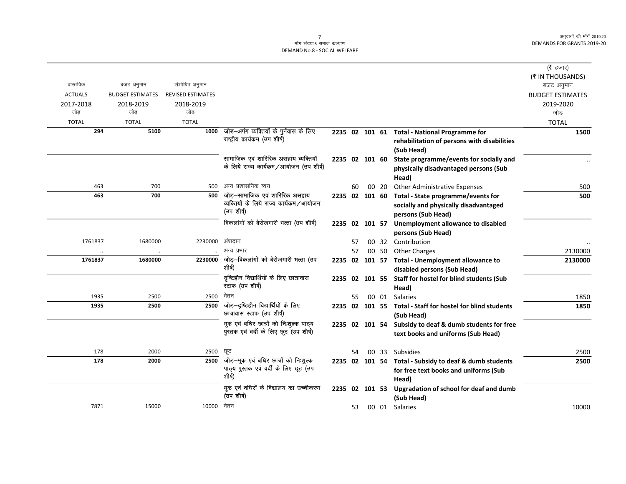|                |                         |                          |                                                                           |                |     |       |                                                                                 | ( <b>रै</b> हजार)       |
|----------------|-------------------------|--------------------------|---------------------------------------------------------------------------|----------------|-----|-------|---------------------------------------------------------------------------------|-------------------------|
|                |                         |                          |                                                                           |                |     |       |                                                                                 | (₹ IN THOUSANDS)        |
| वास्तविक       | बजट अनुमान              | संशोधित अनुमान           |                                                                           |                |     |       |                                                                                 | बजट अनुमान              |
| <b>ACTUALS</b> | <b>BUDGET ESTIMATES</b> | <b>REVISED ESTIMATES</b> |                                                                           |                |     |       |                                                                                 | <b>BUDGET ESTIMATES</b> |
| 2017-2018      | 2018-2019               | 2018-2019                |                                                                           |                |     |       |                                                                                 | 2019-2020               |
| जोड़           | जोड                     | जोड                      |                                                                           |                |     |       |                                                                                 | जोड                     |
| <b>TOTAL</b>   | <b>TOTAL</b>            | <b>TOTAL</b>             |                                                                           |                |     |       |                                                                                 | <b>TOTAL</b>            |
| 294            | 5100                    | 1000                     | जोड़—अपंग व्यक्तियों के पुर्नवास के लिए<br>राष्ट्रीय कार्यक्रम (उप शीर्ष) |                |     |       | 2235 02 101 61 Total - National Programme for                                   | 1500                    |
|                |                         |                          |                                                                           |                |     |       | rehabilitation of persons with disabilities<br>(Sub Head)                       |                         |
|                |                         |                          | सामाजिक एवं शारिरिक असहाय व्यक्तियों                                      | 2235 02 101 60 |     |       | State programme/events for socially and                                         |                         |
|                |                         |                          | के लिये राज्य कार्यकम/आयोजन (उप शीर्ष)                                    |                |     |       | physically disadvantaged persons (Sub                                           |                         |
|                |                         |                          |                                                                           |                |     |       | Head)                                                                           |                         |
| 463            | 700                     | 500                      | अन्य प्रशासनिक व्यय                                                       |                | 60  | 00 20 | <b>Other Administrative Expenses</b>                                            | 500                     |
| 463            | 700                     | 500                      | जोड़—सामाजिक एवं शारिरिक असहाय                                            | 2235 02 101 60 |     |       | Total - State programme/events for                                              | 500                     |
|                |                         |                          | व्यक्तियों के लिये राज्य कार्यकम/आयोजन                                    |                |     |       | socially and physically disadvantaged                                           |                         |
|                |                         |                          | (उप शीर्ष)                                                                |                |     |       | persons (Sub Head)                                                              |                         |
|                |                         |                          | विकलांगों को बेरोजगारी भत्ता (उप शीर्ष)                                   | 2235 02 101 57 |     |       | Unemployment allowance to disabled                                              |                         |
|                |                         |                          |                                                                           |                |     |       | persons (Sub Head)                                                              |                         |
| 1761837        | 1680000                 | 2230000                  | अंशदान                                                                    |                | 57  |       | 00 32 Contribution                                                              |                         |
|                | $\ddotsc$               |                          | अन्य प्रभार                                                               |                | 57  | 00 50 | <b>Other Charges</b>                                                            | 2130000                 |
| 1761837        | 1680000                 | 2230000                  | जोड़–विकलांगों को बेरोजगारी भत्ता (उप<br>शीर्ष)                           |                |     |       | 2235 02 101 57 Total - Unemployment allowance to<br>disabled persons (Sub Head) | 2130000                 |
|                |                         |                          | दृष्टिहीन विद्यार्थियों के लिए छात्रावास                                  |                |     |       | 2235 02 101 55 Staff for hostel for blind students (Sub                         |                         |
|                |                         |                          | स्टाफ (उप शीर्ष)                                                          |                |     |       | Head)                                                                           |                         |
| 1935           | 2500                    | 2500                     | वेतन                                                                      |                | 55. | 00 01 | Salaries                                                                        | 1850                    |
| 1935           | 2500                    | 2500                     | जोड़—दृष्टिहीन विद्यार्थियों के लिए                                       |                |     |       | 2235 02 101 55 Total - Staff for hostel for blind students                      | 1850                    |
|                |                         |                          | छात्रावास स्टाफ (उप शीर्ष)                                                |                |     |       | (Sub Head)                                                                      |                         |
|                |                         |                          | मूक एवं बधिर छात्रों को निःशुल्क पाठ्य                                    |                |     |       | 2235 02 101 54 Subsidy to deaf & dumb students for free                         |                         |
|                |                         |                          | पुस्तक एवं वर्दी के लिए छूट (उप शीर्ष)                                    |                |     |       | text books and uniforms (Sub Head)                                              |                         |
|                |                         |                          |                                                                           |                |     |       |                                                                                 |                         |
| 178            | 2000                    | 2500                     | ਯੂਟ                                                                       |                | 54  | 00 33 | Subsidies                                                                       | 2500                    |
| 178            | 2000                    | 2500                     | जोड़—मूक एवं बधिर छात्रों को निःशुल्क                                     |                |     |       | 2235 02 101 54 Total - Subsidy to deaf & dumb students                          | 2500                    |
|                |                         |                          | पाठ्य पुस्तक एवं वर्दी के लिए छूट (उप                                     |                |     |       | for free text books and uniforms (Sub                                           |                         |
|                |                         |                          | शीर्ष)                                                                    |                |     |       | Head)                                                                           |                         |
|                |                         |                          | मूक एवं वधिरों के विद्यालय का उच्चीकरण                                    | 2235 02 101 53 |     |       | Upgradation of school for deaf and dumb                                         |                         |
|                |                         |                          | (उप शीर्ष)                                                                |                |     |       | (Sub Head)                                                                      |                         |
| 7871           | 15000                   | 10000 वेतन               |                                                                           |                | 53  |       | 00 01 Salaries                                                                  | 10000                   |
|                |                         |                          |                                                                           |                |     |       |                                                                                 |                         |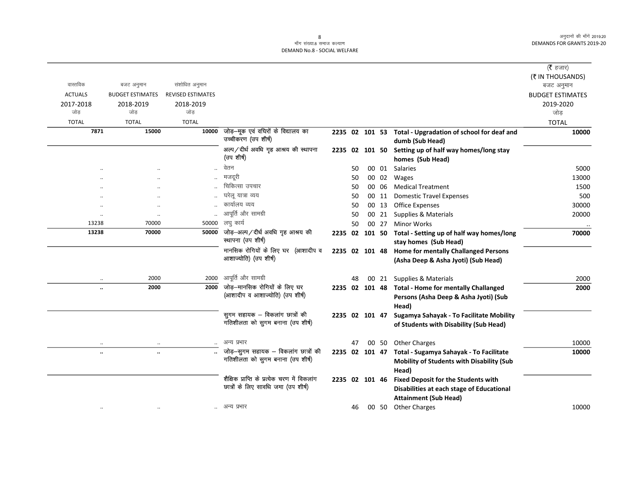#### -<br>माँग संख्या.8 समाज कल्याण DEMAND No.8 - SOCIAL WELFARE

|                      |                         |                          |                                                                      |                |    |                |       |                                                                                    | (रै हजार)                      |
|----------------------|-------------------------|--------------------------|----------------------------------------------------------------------|----------------|----|----------------|-------|------------------------------------------------------------------------------------|--------------------------------|
| वास्तविक             | बजट अनुमान              | संशोधित अनुमान           |                                                                      |                |    |                |       |                                                                                    | (₹ IN THOUSANDS)<br>बजट अनुमान |
| <b>ACTUALS</b>       | <b>BUDGET ESTIMATES</b> | <b>REVISED ESTIMATES</b> |                                                                      |                |    |                |       |                                                                                    | <b>BUDGET ESTIMATES</b>        |
| 2017-2018            | 2018-2019               | 2018-2019                |                                                                      |                |    |                |       |                                                                                    | 2019-2020                      |
| जोड                  | जोड                     | जोड                      |                                                                      |                |    |                |       |                                                                                    | जोड़                           |
| <b>TOTAL</b>         | <b>TOTAL</b>            | <b>TOTAL</b>             |                                                                      |                |    |                |       |                                                                                    | <b>TOTAL</b>                   |
| 7871                 | 15000                   | 10000                    | जोड़—मूक एवं वधिरों के विद्यालय का<br>उच्चीकरण (उप शीर्ष)            |                |    |                |       | 2235 02 101 53 Total - Upgradation of school for deaf and<br>dumb (Sub Head)       | 10000                          |
|                      |                         |                          | अल्प / दीर्घ अवधि गृह आश्रय की स्थापना<br>(उप शीर्ष)                 |                |    |                |       | 2235 02 101 50 Setting up of half way homes/long stay<br>homes (Sub Head)          |                                |
|                      |                         |                          | वेतन                                                                 |                | 50 |                | 00 01 | Salaries                                                                           | 5000                           |
|                      |                         |                          | मजदूरी                                                               |                | 50 |                | 00 02 | Wages                                                                              | 13000                          |
|                      |                         |                          | चिकित्सा उपचार                                                       |                | 50 |                | 00 06 | <b>Medical Treatment</b>                                                           | 1500                           |
|                      |                         |                          | घरेलू यात्रा व्यय                                                    |                | 50 |                | 00 11 | <b>Domestic Travel Expenses</b>                                                    | 500                            |
|                      | $\cdot$                 |                          | कार्यालय व्यय                                                        |                | 50 |                | 00 13 | <b>Office Expenses</b>                                                             | 30000                          |
| $\cdot$              | $\cdot$                 |                          | आपूर्ति और सामग्री                                                   |                | 50 |                | 00 21 | Supplies & Materials                                                               | 20000                          |
| 13238                | 70000                   | 50000                    | लघु कार्य                                                            |                | 50 |                | 00 27 | <b>Minor Works</b>                                                                 | $\ddotsc$                      |
| 13238                | 70000                   | 50000                    | जोड़-अल्प/दीर्ध अवधि गृह आश्रय की<br>स्थापना (उप शीर्ष)              |                |    | 2235 02 101 50 |       | Total - Setting up of half way homes/long<br>stay homes (Sub Head)                 | 70000                          |
|                      |                         |                          | मानसिक रोगियों के लिए घर (आशादीप व                                   | 2235 02 101 48 |    |                |       | <b>Home for mentally Challanged Persons</b>                                        |                                |
|                      |                         |                          | आशाज्योति) (उप शीर्ष)                                                |                |    |                |       | (Asha Deep & Asha Jyoti) (Sub Head)                                                |                                |
| $\ddotsc$            | 2000                    | 2000                     | आपूर्ति और सामग्री                                                   |                | 48 |                | 00 21 | Supplies & Materials                                                               | 2000                           |
| $\ddotsc$            | 2000                    | 2000                     | जोड़–मानसिक रोगियों के लिए घर                                        |                |    |                |       | 2235 02 101 48 Total - Home for mentally Challanged                                | 2000                           |
|                      |                         |                          | (आशादीप व आशाज्योति) (उप शीर्ष)                                      |                |    |                |       | Persons (Asha Deep & Asha Jyoti) (Sub<br>Head)                                     |                                |
|                      |                         |                          | सुगम सहायक – विकलांग छात्रों की<br>गतिशीलता को सुगम बनाना (उप शीर्ष) | 2235 02 101 47 |    |                |       | Sugamya Sahayak - To Facilitate Mobility<br>of Students with Disability (Sub Head) |                                |
|                      |                         |                          | अन्य प्रभार                                                          |                | 47 |                | 00 50 | <b>Other Charges</b>                                                               | 10000                          |
| $\ddot{\phantom{a}}$ | $\ddot{\phantom{a}}$    |                          | जोड़-सुगम सहायक - विकलांग छात्रों की                                 |                |    |                |       | 2235 02 101 47 Total - Sugamya Sahayak - To Facilitate                             | 10000                          |
|                      |                         |                          | गतिशीलता को सुगम बनाना (उप शीर्ष)                                    |                |    |                |       | Mobility of Students with Disability (Sub<br>Head)                                 |                                |
|                      |                         |                          | शैक्षिक प्राप्ति के प्रत्येक चरण में विकलांग                         | 2235 02 101 46 |    |                |       | <b>Fixed Deposit for the Students with</b>                                         |                                |
|                      |                         |                          | छात्रों के लिए सावधि जमा (उप शीर्ष)                                  |                |    |                |       | Disabilities at each stage of Educational                                          |                                |
|                      |                         |                          |                                                                      |                |    |                |       | <b>Attainment (Sub Head)</b>                                                       |                                |
| $\ddotsc$            |                         |                          | अन्य प्रभार                                                          |                | 46 |                |       | 00 50 Other Charges                                                                | 10000                          |
|                      |                         |                          |                                                                      |                |    |                |       |                                                                                    |                                |

 $8\phantom{1}$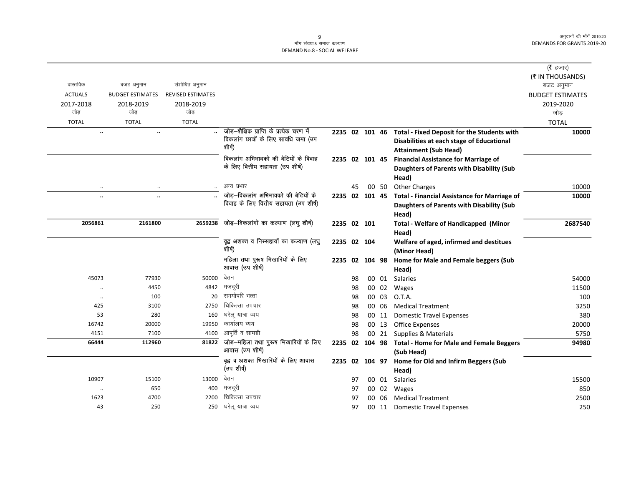#### ्<br>माँग संख्या.8 समाज कल्याण DEMAND No.8 - SOCIAL WELFARE

|                      |                         |                          |                                                                                             |                |    |                 |       |                                                                                                                                         | ( <b>रै</b> हजार)       |
|----------------------|-------------------------|--------------------------|---------------------------------------------------------------------------------------------|----------------|----|-----------------|-------|-----------------------------------------------------------------------------------------------------------------------------------------|-------------------------|
|                      |                         |                          |                                                                                             |                |    |                 |       |                                                                                                                                         | (₹ IN THOUSANDS)        |
| वास्तविक             | बजट अनुमान              | संशोधित अनुमान           |                                                                                             |                |    |                 |       |                                                                                                                                         | बजट अनुमान              |
| <b>ACTUALS</b>       | <b>BUDGET ESTIMATES</b> | <b>REVISED ESTIMATES</b> |                                                                                             |                |    |                 |       |                                                                                                                                         | <b>BUDGET ESTIMATES</b> |
| 2017-2018            | 2018-2019               | 2018-2019                |                                                                                             |                |    |                 |       |                                                                                                                                         | 2019-2020               |
| जोड़                 | जोड                     | जोड                      |                                                                                             |                |    |                 |       |                                                                                                                                         | जोड                     |
| <b>TOTAL</b>         | <b>TOTAL</b>            | <b>TOTAL</b>             |                                                                                             |                |    |                 |       |                                                                                                                                         | <b>TOTAL</b>            |
|                      | $\ddotsc$               |                          | जोड़–शैक्षिक प्राप्ति के प्रत्येक चरण में<br>विकलांग छात्रों के लिए सावधि जमा (उप<br>शीर्ष) |                |    |                 |       | 2235 02 101 46 Total - Fixed Deposit for the Students with<br>Disabilities at each stage of Educational<br><b>Attainment (Sub Head)</b> | 10000                   |
|                      |                         |                          | विकलांग अभिभावको की बेटियों के विवाह<br>के लिए वित्तीय सहायता (उप शीर्ष)                    | 2235 02 101 45 |    |                 |       | <b>Financial Assistance for Marriage of</b><br>Daughters of Parents with Disability (Sub<br>Head)                                       |                         |
| $\cdot\cdot$         | $\ldots$                | $\ddotsc$                | अन्य प्रभार                                                                                 |                | 45 |                 | 00 50 | <b>Other Charges</b>                                                                                                                    | 10000                   |
| $\ddot{\phantom{0}}$ | $\ddotsc$               |                          | जोड़-विकलांग अभिभावको की बेटियों के<br>विवाह के लिए वित्तीय सहायता (उप शीर्ष)               | 2235 02 101 45 |    |                 |       | <b>Total - Financial Assistance for Marriage of</b><br>Daughters of Parents with Disability (Sub<br>Head)                               | 10000                   |
| 2056861              | 2161800                 | 2659238                  | जोड़-विकलांगों का कल्याण (लघु शीर्ष)                                                        | 2235 02 101    |    |                 |       | <b>Total - Welfare of Handicapped (Minor</b><br>Head)                                                                                   | 2687540                 |
|                      |                         |                          | वृद्व अशक्त व निस्सहायों का कल्याण (लघु<br>शीर्ष)                                           | 2235 02 104    |    |                 |       | Welfare of aged, infirmed and destitues<br>(Minor Head)                                                                                 |                         |
|                      |                         |                          | महिला तथा पुरूष भिखारियों के लिए<br>आवास (उप शीर्ष)                                         | 2235 02 104 98 |    |                 |       | Home for Male and Female beggers (Sub<br>Head)                                                                                          |                         |
| 45073                | 77930                   | 50000                    | वेतन                                                                                        |                | 98 |                 | 00 01 | Salaries                                                                                                                                | 54000                   |
| $\ddot{\phantom{0}}$ | 4450                    | 4842                     | मजदूरी                                                                                      |                | 98 |                 | 00 02 | Wages                                                                                                                                   | 11500                   |
| $\ddotsc$            | 100                     |                          | 20 समयोपरि भत्ता                                                                            |                | 98 |                 | 00 03 | O.T.A.                                                                                                                                  | 100                     |
| 425                  | 3100                    | 2750                     | चिकित्सा उपचार                                                                              |                | 98 |                 | 00 06 | <b>Medical Treatment</b>                                                                                                                | 3250                    |
| 53                   | 280                     | 160                      | घरेलू यात्रा व्यय                                                                           |                | 98 |                 | 00 11 | <b>Domestic Travel Expenses</b>                                                                                                         | 380                     |
| 16742                | 20000                   | 19950                    | कार्यालय व्यय                                                                               |                | 98 |                 | 00 13 | <b>Office Expenses</b>                                                                                                                  | 20000                   |
| 4151                 | 7100                    | 4100                     | आपूर्ति व सामग्री                                                                           |                | 98 |                 |       | 00 21 Supplies & Materials                                                                                                              | 5750                    |
| 66444                | 112960                  | 81822                    | जोड़—महिला तथा पुरूष भिखारियों के लिए<br>आवास (उप शीर्ष)                                    |                |    |                 |       | 2235 02 104 98 Total - Home for Male and Female Beggers<br>(Sub Head)                                                                   | 94980                   |
|                      |                         |                          | वृद्व व अशक्त भिखारियों के लिए आवास<br>(उप शीर्ष)                                           | 2235 02        |    | 104 97          |       | Home for Old and Infirm Beggers (Sub<br>Head)                                                                                           |                         |
| 10907                | 15100                   | 13000                    | वेतन                                                                                        |                | 97 |                 | 00 01 | Salaries                                                                                                                                | 15500                   |
| $\ldots$             | 650                     | 400                      | मजदूरी                                                                                      |                | 97 |                 | 00 02 | Wages                                                                                                                                   | 850                     |
| 1623                 | 4700                    | 2200                     | चिकित्सा उपचार                                                                              |                | 97 | 00 <sup>1</sup> | 06    | <b>Medical Treatment</b>                                                                                                                | 2500                    |
| 43                   | 250                     | 250                      | घरेलू यात्रा व्यय                                                                           |                | 97 |                 | 00 11 | <b>Domestic Travel Expenses</b>                                                                                                         | 250                     |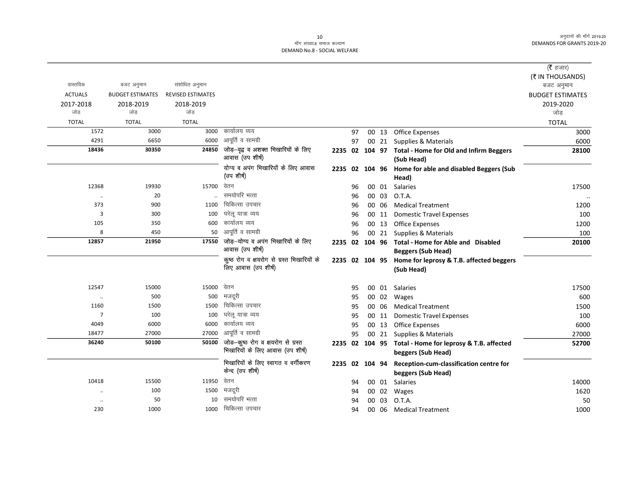## ्र<br>माँग संख्या.8 समाज कल्याण DEMAND No.8 - SOCIAL WELFARE

|                      |                         |                          |                                                                       |                |    |       |                                                                               | ( $\bar{\tau}$ हजार)    |
|----------------------|-------------------------|--------------------------|-----------------------------------------------------------------------|----------------|----|-------|-------------------------------------------------------------------------------|-------------------------|
|                      |                         |                          |                                                                       |                |    |       |                                                                               | (₹ IN THOUSANDS)        |
| वास्तविक             | बजट अनुमान              | संशोधित अनुमान           |                                                                       |                |    |       |                                                                               | बजट अनुमान              |
| <b>ACTUALS</b>       | <b>BUDGET ESTIMATES</b> | <b>REVISED ESTIMATES</b> |                                                                       |                |    |       |                                                                               | <b>BUDGET ESTIMATES</b> |
| 2017-2018            | 2018-2019               | 2018-2019                |                                                                       |                |    |       |                                                                               | 2019-2020               |
| जोड                  | जोड                     | जोड                      |                                                                       |                |    |       |                                                                               | जोड़                    |
| <b>TOTAL</b>         | <b>TOTAL</b>            | <b>TOTAL</b>             |                                                                       |                |    |       |                                                                               | <b>TOTAL</b>            |
| 1572                 | 3000                    | 3000                     | कार्यालय व्यय                                                         |                | 97 |       | 00 13 Office Expenses                                                         | 3000                    |
| 4291                 | 6650                    | 6000                     | आपूर्ति व सामग्री                                                     |                | 97 |       | 00 21 Supplies & Materials                                                    | 6000                    |
| 18436                | 30350                   | 24850                    | जोड़-वृद्व व अशक्त भिखारियों के लिए<br>आवास (उप शीर्ष)                |                |    |       | 2235 02 104 97 Total - Home for Old and Infirm Beggers<br>(Sub Head)          | 28100                   |
|                      |                         |                          | योग्य व अपंग भिखारियों के लिए आवास                                    |                |    |       | 2235 02 104 96 Home for able and disabled Beggers (Sub                        |                         |
|                      |                         |                          | (उप शीर्ष)                                                            |                |    |       | Head)                                                                         |                         |
| 12368                | 19930                   | 15700                    | वेतन                                                                  |                | 96 | 00 01 | <b>Salaries</b>                                                               | 17500                   |
| $\ddotsc$            | 20                      |                          | समयोपरि भत्ता                                                         |                | 96 | 00 03 | O.T.A.                                                                        |                         |
| 373                  | 900                     | 1100                     | चिकित्सा उपचार                                                        |                | 96 | 00 06 | <b>Medical Treatment</b>                                                      | 1200                    |
| $\overline{3}$       | 300                     | 100                      | घरेलू यात्रा व्यय                                                     |                | 96 | 00 11 | <b>Domestic Travel Expenses</b>                                               | 100                     |
| 105                  | 350                     | 600                      | कार्यालय व्यय                                                         |                | 96 | 00 13 | <b>Office Expenses</b>                                                        | 1200                    |
| 8                    | 450                     | 50                       | आपूर्ति व सामग्री                                                     |                | 96 |       | 00 21 Supplies & Materials                                                    | 100                     |
| 12857                | 21950                   | 17550                    | जोड़-योग्य व अपंग भिखारियों के लिए                                    | 2235 02 104 96 |    |       | Total - Home for Able and Disabled                                            | 20100                   |
|                      |                         |                          | आवास (उप शीर्ष)                                                       |                |    |       | <b>Beggers (Sub Head)</b>                                                     |                         |
|                      |                         |                          | कूष्ठ रोग व क्षयरोग से ग्रस्त भिखारियों के                            |                |    |       | 2235 02 104 95 Home for leprosy & T.B. affected beggers                       |                         |
|                      |                         |                          | लिए आवास (उप शीर्ष)                                                   |                |    |       | (Sub Head)                                                                    |                         |
| 12547                | 15000                   | 15000                    | वेतन                                                                  |                | 95 |       | 00 01 Salaries                                                                | 17500                   |
| $\cdot\cdot$         | 500                     | 500                      | मजदरी                                                                 |                | 95 | 00 02 | Wages                                                                         | 600                     |
| 1160                 | 1500                    | 1500                     | चिकित्सा उपचार                                                        |                | 95 | 00 06 | <b>Medical Treatment</b>                                                      | 1500                    |
| $\overline{7}$       | 100                     | 100                      | घरेलू यात्रा व्यय                                                     |                | 95 | 00 11 | <b>Domestic Travel Expenses</b>                                               | 100                     |
| 4049                 | 6000                    | 6000                     | कार्यालय व्यय                                                         |                | 95 | 00 13 | <b>Office Expenses</b>                                                        | 6000                    |
| 18477                | 27000                   | 27000                    | आपूर्ति व सामग्री                                                     |                | 95 |       | 00 21 Supplies & Materials                                                    | 27000                   |
| 36240                | 50100                   | 50100                    | जोड-कूष्ठ रोग व क्षयरोग से ग्रस्त<br>भिखारियों के लिए आवास (उप शीर्ष) |                |    |       | 2235 02 104 95 Total - Home for leprosy & T.B. affected<br>beggers (Sub Head) | 52700                   |
|                      |                         |                          | भिखारियों के लिए स्वागत व वर्गीकरण                                    | 2235 02 104 94 |    |       | Reception-cum-classification centre for                                       |                         |
|                      |                         |                          | केन्द (उप शीर्ष)                                                      |                |    |       | beggers (Sub Head)                                                            |                         |
| 10418                | 15500                   | 11950                    | वेतन                                                                  |                | 94 |       | 00 01 Salaries                                                                | 14000                   |
| $\cdot\cdot$         | 100                     | 1500                     | मजदूरी                                                                |                | 94 | 00 02 | Wages                                                                         | 1620                    |
| $\ddot{\phantom{a}}$ | 50                      | 10                       | समयोपरि भत्ता                                                         |                | 94 | 00 03 | O.T.A.                                                                        | 50                      |
| 230                  | 1000                    | 1000                     | चिकित्सा उपचार                                                        |                | 94 | 00 06 | <b>Medical Treatment</b>                                                      | 1000                    |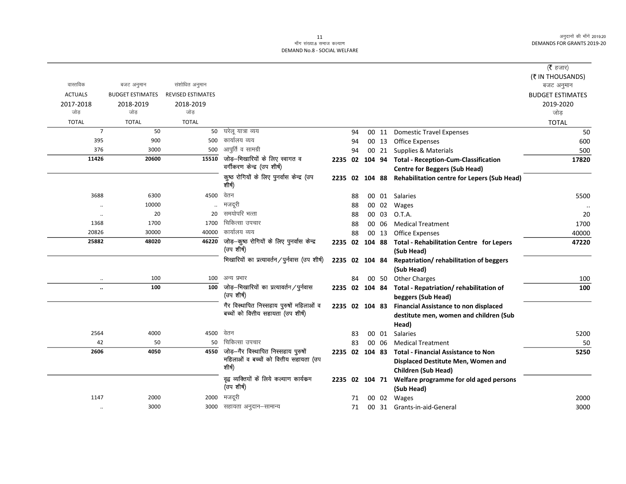## ر 11<br>माँग संख्या.8 समाज कल्याण DEMAND No.8 - SOCIAL WELFARE

|                |                         |                          |                                                          |                |    |       |                                                                       | ( <b>रै</b> हजार)       |
|----------------|-------------------------|--------------------------|----------------------------------------------------------|----------------|----|-------|-----------------------------------------------------------------------|-------------------------|
|                |                         |                          |                                                          |                |    |       |                                                                       | (₹ IN THOUSANDS)        |
| वास्तविक       | बजट अनुमान              | संशोधित अनुमान           |                                                          |                |    |       |                                                                       | बजट अनुमान              |
| <b>ACTUALS</b> | <b>BUDGET ESTIMATES</b> | <b>REVISED ESTIMATES</b> |                                                          |                |    |       |                                                                       | <b>BUDGET ESTIMATES</b> |
| 2017-2018      | 2018-2019               | 2018-2019                |                                                          |                |    |       |                                                                       | 2019-2020               |
| जोड            | जोड                     | जोड                      |                                                          |                |    |       |                                                                       | जोड                     |
| <b>TOTAL</b>   | <b>TOTAL</b>            | <b>TOTAL</b>             |                                                          |                |    |       |                                                                       | <b>TOTAL</b>            |
| $\overline{7}$ | 50                      |                          | 50 घरेलू यात्रा व्यय                                     |                | 94 | 00 11 | <b>Domestic Travel Expenses</b>                                       | 50                      |
| 395            | 900                     | 500                      | कार्यालय व्यय                                            |                | 94 | 00 13 | <b>Office Expenses</b>                                                | 600                     |
| 376            | 3000                    | 500                      | आपूर्ति व सामग्री                                        |                | 94 | 00 21 | Supplies & Materials                                                  | 500                     |
| 11426          | 20600                   | 15510                    | जोड़–भिखारियों के लिए स्वागत व                           |                |    |       | 2235 02 104 94 Total - Reception-Cum-Classification                   | 17820                   |
|                |                         |                          | वर्गीकरण केन्द्र (उप शीर्ष)                              |                |    |       | <b>Centre for Beggers (Sub Head)</b>                                  |                         |
|                |                         |                          | कुष्ठ रोगियों के लिए पुनर्वास केन्द्र (उप<br>शीर्ष)      |                |    |       | 2235 02 104 88 Rehabilitation centre for Lepers (Sub Head)            |                         |
| 3688           | 6300                    | 4500                     | वेतन                                                     |                | 88 |       | 00 01 Salaries                                                        | 5500                    |
| $\cdot$        | 10000                   |                          | मजदूरी                                                   |                | 88 | 00 02 | Wages                                                                 |                         |
| $\cdot$        | 20                      | 20                       | समयोपरि भत्ता                                            |                | 88 | 00 03 | O.T.A.                                                                | 20                      |
| 1368           | 1700                    | 1700                     | चिकित्सा उपचार                                           |                | 88 | 00 06 | <b>Medical Treatment</b>                                              | 1700                    |
| 20826          | 30000                   | 40000                    | कार्यालय व्यय                                            |                | 88 | 00 13 | <b>Office Expenses</b>                                                | 40000                   |
| 25882          | 48020                   | 46220                    | जोड़-कूष्ठ रोगियों के लिए पुनर्वास केन्द्र<br>(उप शीर्ष) |                |    |       | 2235 02 104 88 Total - Rehabilitation Centre for Lepers<br>(Sub Head) | 47220                   |
|                |                         |                          | भिखारियों का प्रत्यावर्तन/पुर्नवास (उप शीर्ष)            | 2235 02 104 84 |    |       | Repatriation/rehabilitation of beggers                                |                         |
|                |                         |                          |                                                          |                |    |       | (Sub Head)                                                            |                         |
| $\ddotsc$      | 100                     | 100                      | अन्य प्रभार                                              |                | 84 | 00 50 | <b>Other Charges</b>                                                  | 100                     |
| $\ddotsc$      | 100                     | 100                      | जोड़—भिखारियों का प्रत्यावर्तन ⁄ पुर्नवास                | 2235 02 104 84 |    |       | Total - Repatriation/ rehabilitation of                               | 100                     |
|                |                         |                          | (उप शीर्ष)                                               |                |    |       | beggers (Sub Head)                                                    |                         |
|                |                         |                          | गैर विस्थापित निस्सहाय पुरुषों महिलाओं व                 | 2235 02 104 83 |    |       | <b>Financial Assistance to non displaced</b>                          |                         |
|                |                         |                          | बच्चों को वित्तीय सहायता (उप शीर्ष)                      |                |    |       | destitute men, women and children (Sub                                |                         |
|                |                         |                          |                                                          |                |    |       | Head)                                                                 |                         |
| 2564           | 4000                    | 4500                     | वेतन                                                     |                | 83 | 00 01 | Salaries                                                              | 5200                    |
| 42             | 50                      | 50                       | चिकित्सा उपचार                                           |                | 83 | 00 06 | <b>Medical Treatment</b>                                              | 50                      |
| 2606           | 4050                    |                          | 4550 जोड़-गैर विस्थापित निस्सहाय पुरुषों                 | 2235 02 104 83 |    |       | <b>Total - Financial Assistance to Non</b>                            | 5250                    |
|                |                         |                          | महिलाओं व बच्चों को वित्तीय सहायता (उप                   |                |    |       | Displaced Destitute Men, Women and                                    |                         |
|                |                         |                          | शीर्ष)                                                   |                |    |       | Children (Sub Head)                                                   |                         |
|                |                         |                          | वृद्व व्यक्तियों कें लिये कल्याण कार्यक्रम               |                |    |       | 2235 02 104 71 Welfare programme for old aged persons                 |                         |
|                |                         |                          | (उप शीर्ष)                                               |                |    |       | (Sub Head)                                                            |                         |
| 1147           | 2000                    | 2000                     | मजदूरी                                                   |                | 71 | 00 02 | Wages                                                                 | 2000                    |
| $\ddotsc$      | 3000                    |                          | 3000 सहायता अनुदान-सामान्य                               |                | 71 |       | 00 31 Grants-in-aid-General                                           | 3000                    |
|                |                         |                          |                                                          |                |    |       |                                                                       |                         |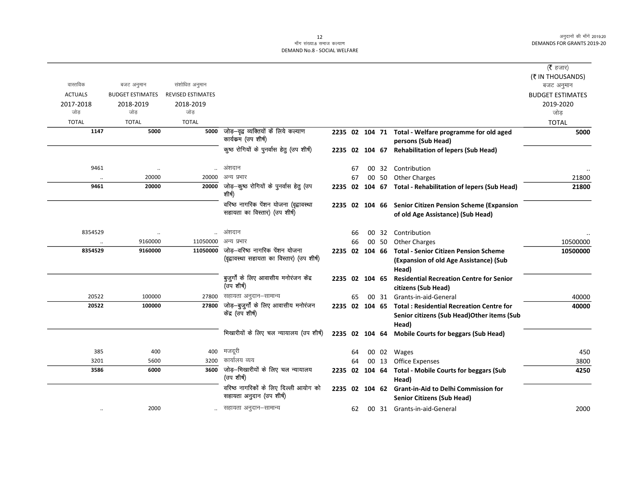|                |                         |                          |                                                                             |                |    |  |                                                                                                         | (रै हजार)               |
|----------------|-------------------------|--------------------------|-----------------------------------------------------------------------------|----------------|----|--|---------------------------------------------------------------------------------------------------------|-------------------------|
|                |                         |                          |                                                                             |                |    |  |                                                                                                         | (₹ IN THOUSANDS)        |
| वास्तविक       | बजट अनुमान              | संशोधित अनुमान           |                                                                             |                |    |  |                                                                                                         | बजट अनुमान              |
| <b>ACTUALS</b> | <b>BUDGET ESTIMATES</b> | <b>REVISED ESTIMATES</b> |                                                                             |                |    |  |                                                                                                         | <b>BUDGET ESTIMATES</b> |
| 2017-2018      | 2018-2019               | 2018-2019                |                                                                             |                |    |  |                                                                                                         | 2019-2020               |
| जोड            | जोड                     | जोड                      |                                                                             |                |    |  |                                                                                                         | जोड                     |
| <b>TOTAL</b>   | <b>TOTAL</b>            | <b>TOTAL</b>             |                                                                             |                |    |  |                                                                                                         | <b>TOTAL</b>            |
| 1147           | 5000                    |                          | 5000 जोड़-वृद्व व्यक्तियों कें लिये कल्याण<br>कार्यकम (उप शीर्ष)            |                |    |  | 2235 02 104 71 Total - Welfare programme for old aged<br>persons (Sub Head)                             | 5000                    |
|                |                         |                          | कुष्ठ रोगियों के पुनर्वास हेतु (उप शीर्ष)                                   |                |    |  | 2235 02 104 67 Rehabilitation of lepers (Sub Head)                                                      |                         |
| 9461           | $\ddotsc$               |                          | अंशदान                                                                      |                | 67 |  | 00 32 Contribution                                                                                      |                         |
|                | 20000                   | 20000                    | अन्य प्रभार                                                                 |                | 67 |  | 00 50 Other Charges                                                                                     | 21800                   |
| 9461           | 20000                   | 20000                    | जोड़—कुष्ठ रोगियों के पुनर्वास हेतु (उप<br>शीर्ष                            |                |    |  | 2235 02 104 67 Total - Rehabilitation of lepers (Sub Head)                                              | 21800                   |
|                |                         |                          | वरिष्ठ नागरिक पेंशन योजना (वृद्वावस्था                                      |                |    |  | 2235 02 104 66 Senior Citizen Pension Scheme (Expansion                                                 |                         |
|                |                         |                          | सहायता का विस्तार) (उप शीर्ष)                                               |                |    |  | of old Age Assistance) (Sub Head)                                                                       |                         |
| 8354529        | $\ddotsc$               |                          | अंशदान                                                                      |                | 66 |  | 00 32 Contribution                                                                                      |                         |
| $\ddotsc$      | 9160000                 | 11050000                 | अन्य प्रभार                                                                 |                | 66 |  | 00 50 Other Charges                                                                                     | 10500000                |
| 8354529        | 9160000                 | 11050000                 | जोड़-वरिष्ठ नागरिक पेशन योजना<br>(वृद्वावस्था सहायता का विस्तार) (उप शीर्ष) |                |    |  | 2235 02 104 66 Total - Senior Citizen Pension Scheme<br>(Expansion of old Age Assistance) (Sub<br>Head) | 10500000                |
|                |                         |                          | बुजुर्गों के लिए आवासीय मनोरंजन केंद्र<br>(उप शीर्ष)                        | 2235 02 104 65 |    |  | <b>Residential Recreation Centre for Senior</b><br>citizens (Sub Head)                                  |                         |
| 20522          | 100000                  |                          | 27800 सहायता अनुदान-सामान्य                                                 |                | 65 |  | 00 31 Grants-in-aid-General                                                                             | 40000                   |
| 20522          | 100000                  | 27800                    | जोड़-बुजुर्गों के लिए आवासीय मनोरंजन                                        |                |    |  | 2235 02 104 65 Total: Residential Recreation Centre for                                                 | 40000                   |
|                |                         |                          | केंद्र (उप शीर्ष)                                                           |                |    |  | Senior citizens (Sub Head) Other items (Sub<br>Head)                                                    |                         |
|                |                         |                          | भिखारीयों के लिए चल न्यायालय (उप शीर्ष)                                     |                |    |  | 2235 02 104 64 Mobile Courts for beggars (Sub Head)                                                     |                         |
| 385            | 400                     | 400                      | मजदूरी                                                                      |                | 64 |  | 00 02 Wages                                                                                             | 450                     |
| 3201           | 5600                    | 3200                     | कार्यालय व्यय                                                               |                | 64 |  | 00 13 Office Expenses                                                                                   | 3800                    |
| 3586           | 6000                    | 3600                     | जोड़–भिखारीयों के लिए चल न्यायालय<br>(उप शीर्ष)                             |                |    |  | 2235 02 104 64 Total - Mobile Courts for beggars (Sub<br>Head)                                          | 4250                    |
|                |                         |                          | वरिष्ठ नागरिकों के लिए दिल्ली आयोग को<br>सहायता अनुदान (उप शीर्ष)           | 2235 02 104 62 |    |  | <b>Grant-in-Aid to Delhi Commission for</b><br><b>Senior Citizens (Sub Head)</b>                        |                         |
| $\ddotsc$      | 2000                    |                          | सहायता अनुदान–सामान्य                                                       |                | 62 |  | 00 31 Grants-in-aid-General                                                                             | 2000                    |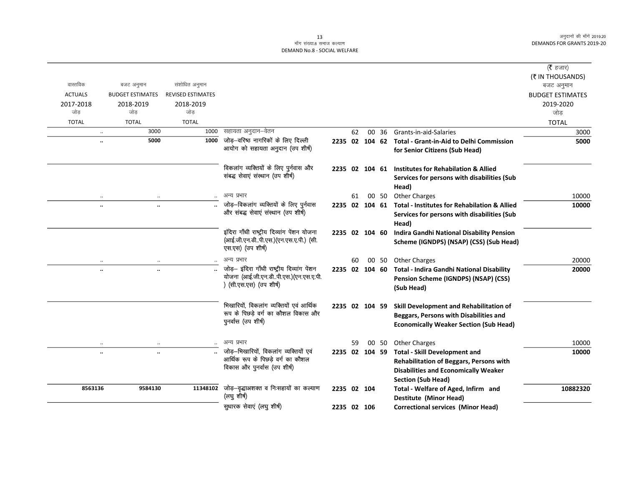## DEMAND No.8 - SOCIAL WELFARE

|                  |                                   |                          |                                                                                 |                |    |                |       |                                                             | ( $\bar{\tau}$ हजार)    |
|------------------|-----------------------------------|--------------------------|---------------------------------------------------------------------------------|----------------|----|----------------|-------|-------------------------------------------------------------|-------------------------|
| वास्तविक         |                                   |                          |                                                                                 |                |    |                |       |                                                             | (₹ IN THOUSANDS)        |
|                  | बजट अनुमान                        | संशोधित अनुमान           |                                                                                 |                |    |                |       |                                                             | बजट अनुमान              |
| <b>ACTUALS</b>   | <b>BUDGET ESTIMATES</b>           | <b>REVISED ESTIMATES</b> |                                                                                 |                |    |                |       |                                                             | <b>BUDGET ESTIMATES</b> |
| 2017-2018<br>जोड | 2018-2019<br>जोड                  | 2018-2019<br>जोड         |                                                                                 |                |    |                |       |                                                             | 2019-2020               |
|                  |                                   |                          |                                                                                 |                |    |                |       |                                                             | जोड़                    |
| <b>TOTAL</b>     | <b>TOTAL</b>                      | <b>TOTAL</b>             |                                                                                 |                |    |                |       |                                                             | <b>TOTAL</b>            |
|                  | 3000<br>$\ldots$                  | 1000                     | सहायता अनुदान–वेतन<br>जोड़—वरिष्ठ नागरिकों के लिए दिल्ली                        |                | 62 | 00             | 36    | Grants-in-aid-Salaries                                      | 3000                    |
|                  | 5000<br>                          | 1000                     | आयोग को सहायता अनुदान (उप शीर्ष)                                                |                |    |                |       | 2235 02 104 62 Total - Grant-in-Aid to Delhi Commission     | 5000                    |
|                  |                                   |                          |                                                                                 |                |    |                |       | for Senior Citizens (Sub Head)                              |                         |
|                  |                                   |                          | विकलांग व्यक्तियों के लिए पुर्नवास और                                           |                |    |                |       | 2235 02 104 61 Institutes for Rehabilation & Allied         |                         |
|                  |                                   |                          | संबद्ध सेवाएं संस्थान (उप शीर्ष)                                                |                |    |                |       | Services for persons with disabilities (Sub                 |                         |
|                  |                                   |                          |                                                                                 |                |    |                |       | Head)                                                       |                         |
|                  |                                   |                          | अन्य प्रभार                                                                     |                | 61 |                | 00 50 | <b>Other Charges</b>                                        | 10000                   |
|                  | $\ddotsc$<br>$\ddot{\phantom{a}}$ |                          | जोड़-विकलांग व्यक्तियों के लिए पुर्नवास                                         |                |    |                |       | 2235 02 104 61 Total - Institutes for Rehabilation & Allied | 10000                   |
|                  |                                   |                          | और संबद्ध सेवाएं संस्थान (उप शीर्ष)                                             |                |    |                |       | Services for persons with disabilities (Sub                 |                         |
|                  |                                   |                          |                                                                                 |                |    |                |       | Head)                                                       |                         |
|                  |                                   |                          | इंदिरा गाँधी राष्ट्रीय दिव्यांग पेंशन योजना                                     |                |    | 2235 02 104 60 |       | <b>Indira Gandhi National Disability Pension</b>            |                         |
|                  |                                   |                          | (आई.जी.एन.डीपी.एस.)(एन.एस.ए.पी.) (सी.<br>एस.एस) (उप शीर्ष)                      |                |    |                |       | Scheme (IGNDPS) (NSAP) (CSS) (Sub Head)                     |                         |
|                  |                                   |                          | अन्य प्रभार                                                                     |                | 60 |                | 00 50 | <b>Other Charges</b>                                        | 20000                   |
|                  | $\ddotsc$<br>$\cdot \cdot$        |                          | जोड़- इंदिरा गाँधी राष्ट्रीय दिव्यांग पेंशन                                     | 2235 02 104 60 |    |                |       | Total - Indira Gandhi National Disability                   | 20000                   |
|                  |                                   |                          | योजना (आई.जी.एन.डीपी.एस.)(एन.एस.ए.पी.                                           |                |    |                |       | Pension Scheme (IGNDPS) (NSAP) (CSS)                        |                         |
|                  |                                   |                          | ) (सी.एस.एस) (उप शीर्ष)                                                         |                |    |                |       | (Sub Head)                                                  |                         |
|                  |                                   |                          |                                                                                 |                |    |                |       |                                                             |                         |
|                  |                                   |                          | भिखारियों, विकलांग व्यक्तियों एवं आर्थिक<br>रूप के पिछड़े वर्ग का कौशल विकास और | 2235 02 104 59 |    |                |       | Skill Development and Rehabilitation of                     |                         |
|                  |                                   |                          | पुनर्वास (उप शीर्ष)                                                             |                |    |                |       | Beggars, Persons with Disabilities and                      |                         |
|                  |                                   |                          |                                                                                 |                |    |                |       | <b>Economically Weaker Section (Sub Head)</b>               |                         |
|                  | $\ddotsc$<br>$\cdot$              |                          | अन्य प्रभार                                                                     |                | 59 |                | 00 50 | <b>Other Charges</b>                                        | 10000                   |
|                  | $\ddotsc$<br>$\ddotsc$            |                          | जोड़-भिखारियों, विकलांग व्यक्तियों एवं                                          | 2235 02 104 59 |    |                |       | <b>Total - Skill Development and</b>                        | 10000                   |
|                  |                                   |                          | आर्थिक रूप के पिछड़े वर्ग का कौशल                                               |                |    |                |       | <b>Rehabilitation of Beggars, Persons with</b>              |                         |
|                  |                                   |                          | विकास और पुनर्वास (उप शीर्ष)                                                    |                |    |                |       | <b>Disabilities and Economically Weaker</b>                 |                         |
|                  |                                   |                          |                                                                                 |                |    |                |       | <b>Section (Sub Head)</b>                                   |                         |
| 8563136          | 9584130                           | 11348102                 | जोड़-वृद्धाअशक्त व निःसहायों का कल्याण                                          | 2235 02 104    |    |                |       | Total - Welfare of Aged, Infirm and                         | 10882320                |
|                  |                                   |                          | (लघु शीर्ष)                                                                     |                |    |                |       | Destitute (Minor Head)                                      |                         |
|                  |                                   |                          | सुधारक सेवाएं (लघु शीर्ष)                                                       | 2235 02 106    |    |                |       | <b>Correctional services (Minor Head)</b>                   |                         |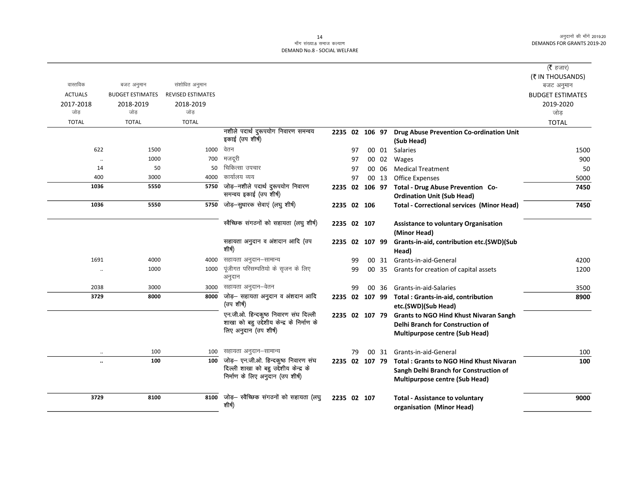## ्तः<br>माँग संख्या.8 समाज कल्याण DEMAND No.8 - SOCIAL WELFARE

| वास्तविक<br><b>ACTUALS</b><br>2017-2018<br>जोड़<br><b>TOTAL</b> | बजट अनुमान<br><b>BUDGET ESTIMATES</b><br>2018-2019<br>जोड<br><b>TOTAL</b> | संशोधित अनुमान<br><b>REVISED ESTIMATES</b><br>2018-2019<br>जोड़<br><b>TOTAL</b> | नशीले पदार्थ दुरूपयोग निवारण समन्वय<br>इकाई (उप शीर्ष)                                                             |                |    |    |       | 2235 02 106 97 Drug Abuse Prevention Co-ordination Unit<br>(Sub Head)                                                                     | ( <b>रै</b> हजार)<br>(₹ IN THOUSANDS)<br>बजट अनुमान<br><b>BUDGET ESTIMATES</b><br>2019-2020<br>जोड<br><b>TOTAL</b> |
|-----------------------------------------------------------------|---------------------------------------------------------------------------|---------------------------------------------------------------------------------|--------------------------------------------------------------------------------------------------------------------|----------------|----|----|-------|-------------------------------------------------------------------------------------------------------------------------------------------|--------------------------------------------------------------------------------------------------------------------|
| 622                                                             | 1500                                                                      | 1000                                                                            | वेतन                                                                                                               |                | 97 |    |       | 00 01 Salaries                                                                                                                            | 1500                                                                                                               |
| $\cdot\cdot$                                                    | 1000                                                                      | 700                                                                             | मजदूरी                                                                                                             |                | 97 |    | 00 02 | Wages                                                                                                                                     | 900                                                                                                                |
| 14                                                              | 50                                                                        | 50                                                                              | चिकित्सा उपचार                                                                                                     |                | 97 |    | 00 06 | <b>Medical Treatment</b>                                                                                                                  | 50                                                                                                                 |
| 400                                                             | 3000                                                                      | 4000                                                                            | कार्यालय व्यय                                                                                                      |                | 97 |    |       | 00 13 Office Expenses                                                                                                                     | 5000                                                                                                               |
| 1036                                                            | 5550                                                                      | 5750                                                                            | जोड़-नशीले पदार्थ दुरूपयोग निवारण<br>समन्वय इकाई (उप शीर्ष)                                                        |                |    |    |       | 2235 02 106 97 Total - Drug Abuse Prevention Co-<br><b>Ordination Unit (Sub Head)</b>                                                     | 7450                                                                                                               |
| 1036                                                            | 5550                                                                      | 5750                                                                            | जोड़-सुधारक सेवाएं (लघु शीर्ष)                                                                                     | 2235 02 106    |    |    |       | <b>Total - Correctional services (Minor Head)</b>                                                                                         | 7450                                                                                                               |
|                                                                 |                                                                           |                                                                                 | स्वैच्छिक संगठनों को सहायता (लघु शीर्ष)                                                                            | 2235 02 107    |    |    |       | <b>Assistance to voluntary Organisation</b><br>(Minor Head)                                                                               |                                                                                                                    |
|                                                                 |                                                                           |                                                                                 | सहायता अनुदान व अंशदान आदि (उप<br>शीर्ष)                                                                           | 2235 02 107 99 |    |    |       | Grants-in-aid, contribution etc.(SWD)(Sub<br>Head)                                                                                        |                                                                                                                    |
| 1691                                                            | 4000                                                                      |                                                                                 | 4000 सहायता अनुदान-सामान्य                                                                                         |                | 99 |    | 00 31 | Grants-in-aid-General                                                                                                                     | 4200                                                                                                               |
| $\ddot{\phantom{0}}$                                            | 1000                                                                      | 1000                                                                            | पूंजीगत परिसम्पतियो के सृजन के लिए<br>अनुदान                                                                       |                | 99 |    |       | 00 35 Grants for creation of capital assets                                                                                               | 1200                                                                                                               |
| 2038                                                            | 3000                                                                      | 3000                                                                            | सहायता अनुदान–वेतन                                                                                                 |                | 99 | 00 | 36    | Grants-in-aid-Salaries                                                                                                                    | 3500                                                                                                               |
| 3729                                                            | 8000                                                                      | 8000                                                                            | जोड़- सहायता अनुदान व अंशदान आदि<br>(उप शीर्ष)                                                                     |                |    |    |       | 2235 02 107 99 Total: Grants-in-aid, contribution<br>etc.(SWD)(Sub Head)                                                                  | 8900                                                                                                               |
|                                                                 |                                                                           |                                                                                 | एन.जी.ओ. हिन्दकुष्ठ निवारण संघ दिल्ली<br>शाखा को बहु उद्देशीय केन्द्र के निर्माण के<br>लिए अनुदान (उप शीर्ष)       |                |    |    |       | 2235 02 107 79 Grants to NGO Hind Khust Nivaran Sangh<br>Delhi Branch for Construction of<br><b>Multipurpose centre (Sub Head)</b>        |                                                                                                                    |
| $\ddotsc$                                                       | 100                                                                       | 100                                                                             | सहायता अनुदान–सामान्य                                                                                              |                | 79 |    |       | 00 31 Grants-in-aid-General                                                                                                               | 100                                                                                                                |
| $\ddotsc$                                                       | 100                                                                       | 100                                                                             | जोड़- एन.जी.ओ. हिन्दकुष्ठ निवारण संघ<br>दिल्ली शाखा को बहु उद्देशीय केन्द्र के<br>निर्माण के लिए अनुदान (उप शीर्ष) |                |    |    |       | 2235 02 107 79 Total: Grants to NGO Hind Khust Nivaran<br>Sangh Delhi Branch for Construction of<br><b>Multipurpose centre (Sub Head)</b> | 100                                                                                                                |
| 3729                                                            | 8100                                                                      | 8100                                                                            | जोड़— स्वैच्छिक संगठनों को सहायता (लघु<br>शीर्ष)                                                                   | 2235 02 107    |    |    |       | <b>Total - Assistance to voluntary</b><br>organisation (Minor Head)                                                                       | 9000                                                                                                               |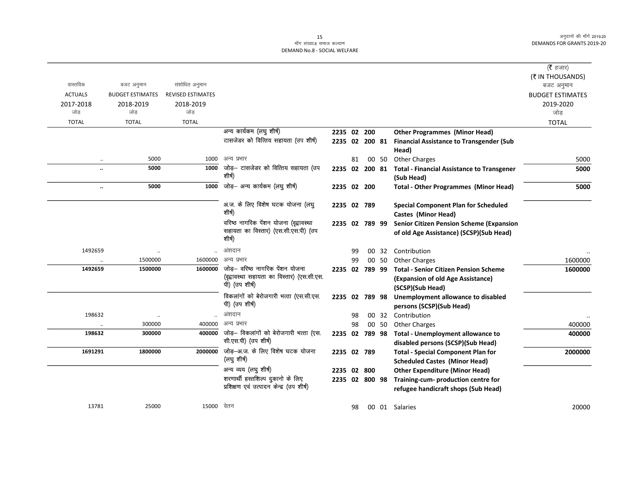## 15<br>माँग संख्या.8 समाज कल्याण DEMAND No.8 - SOCIAL WELFARE

|                      |                         |                          |                                                                                |                |    |       |                                                                  | ( <b>रै</b> हजार)       |
|----------------------|-------------------------|--------------------------|--------------------------------------------------------------------------------|----------------|----|-------|------------------------------------------------------------------|-------------------------|
|                      |                         |                          |                                                                                |                |    |       |                                                                  | (₹ IN THOUSANDS)        |
| वास्तविक             | बजट अनुमान              | संशोधित अनुमान           |                                                                                |                |    |       |                                                                  | बजट अनुमान              |
| <b>ACTUALS</b>       | <b>BUDGET ESTIMATES</b> | <b>REVISED ESTIMATES</b> |                                                                                |                |    |       |                                                                  | <b>BUDGET ESTIMATES</b> |
| 2017-2018            | 2018-2019               | 2018-2019                |                                                                                |                |    |       |                                                                  | 2019-2020               |
| जोड                  | जोड                     | जोड                      |                                                                                |                |    |       |                                                                  | जोड                     |
| <b>TOTAL</b>         | <b>TOTAL</b>            | <b>TOTAL</b>             |                                                                                |                |    |       |                                                                  | <b>TOTAL</b>            |
|                      |                         |                          | अन्य कार्यकम (लघु शीर्ष)                                                       | 2235 02 200    |    |       | <b>Other Programmes (Minor Head)</b>                             |                         |
|                      |                         |                          | टासजेडर को वित्तिय सहायता (उप शीर्ष)                                           |                |    |       | 2235 02 200 81 Financial Assistance to Transgender (Sub<br>Head) |                         |
|                      | 5000                    | 1000                     | अन्य प्रभार                                                                    |                | 81 | 00 50 | <b>Other Charges</b>                                             | 5000                    |
| $\ddotsc$            | 5000                    | 1000                     | जोड़– टासजेडर को वित्तिय सहायता (उप                                            | 2235 02 200 81 |    |       |                                                                  | 5000                    |
|                      |                         |                          | शीर्ष)                                                                         |                |    |       | <b>Total - Financial Assistance to Transgener</b><br>(Sub Head)  |                         |
| $\ddotsc$            | 5000                    | 1000                     | जोड़- अन्य कार्यकम (लघु शीर्ष)                                                 | 2235 02 200    |    |       | <b>Total - Other Programmes (Minor Head)</b>                     | 5000                    |
|                      |                         |                          | अ.ज. के लिए विशेष घटक योजना (लघु<br>शीर्ष)                                     | 2235 02 789    |    |       | <b>Special Component Plan for Scheduled</b>                      |                         |
|                      |                         |                          |                                                                                |                |    |       | Castes (Minor Head)                                              |                         |
|                      |                         |                          | वरिष्ठ नागरिक पेंशन योजना (वृद्वावस्था<br>सहायता का विस्तार) (एस.सी.एस.पी) (उप | 2235 02 789 99 |    |       | <b>Senior Citizen Pension Scheme (Expansion</b>                  |                         |
|                      |                         |                          | शीर्ष)                                                                         |                |    |       | of old Age Assistance) (SCSP)(Sub Head)                          |                         |
| 1492659              | $\ldots$                |                          | अंशदान                                                                         |                | 99 | 00 32 | Contribution                                                     |                         |
| $\ddot{\phantom{a}}$ | 1500000                 | 1600000                  | अन्य प्रभार                                                                    |                | 99 | 00 50 | <b>Other Charges</b>                                             | 1600000                 |
| 1492659              | 1500000                 | 1600000                  | जोड– वरिष्ठ नागरिक पेंशन योजना                                                 | 2235 02 789 99 |    |       | <b>Total - Senior Citizen Pension Scheme</b>                     | 1600000                 |
|                      |                         |                          | (वृद्वावस्था सहायता का विस्तार) (एस.सी.एस.                                     |                |    |       | (Expansion of old Age Assistance)                                |                         |
|                      |                         |                          | पी) (उप शीर्ष)                                                                 |                |    |       | (SCSP)(Sub Head)                                                 |                         |
|                      |                         |                          | विकलांगों को बेरोजगारी भत्ता (एस.सी.एस.                                        | 2235 02 789 98 |    |       | Unemployment allowance to disabled                               |                         |
|                      |                         |                          | पी) (उप शीर्ष)                                                                 |                |    |       | persons (SCSP)(Sub Head)                                         |                         |
| 198632               | $\ldots$                |                          | अंशदान                                                                         |                | 98 |       | 00 32 Contribution                                               |                         |
| $\ddotsc$            | 300000                  | 400000                   | अन्य प्रभार                                                                    |                | 98 | 00 50 | <b>Other Charges</b>                                             | 400000                  |
| 198632               | 300000                  | 400000                   | जोड़— विकलांगों को बेरोजगारी भत्ता (एस.                                        | 2235 02 789 98 |    |       | <b>Total - Unemployment allowance to</b>                         | 400000                  |
|                      |                         |                          | सी.एस.पी) (उप शीर्ष)                                                           |                |    |       | disabled persons (SCSP)(Sub Head)                                |                         |
| 1691291              | 1800000                 | 2000000                  | जोड़-अ.ज. के लिए विशेष घटक योजना                                               | 2235 02 789    |    |       | <b>Total - Special Component Plan for</b>                        | 2000000                 |
|                      |                         |                          | (लघु शीर्ष)                                                                    |                |    |       | <b>Scheduled Castes (Minor Head)</b>                             |                         |
|                      |                         |                          | अन्य व्यय (लघु शीर्ष)                                                          | 2235 02 800    |    |       | <b>Other Expenditure (Minor Head)</b>                            |                         |
|                      |                         |                          | शरणार्थी हस्तशिल्प दुकानो के लिए                                               | 2235 02 800 98 |    |       | Training-cum- production centre for                              |                         |
|                      |                         |                          | प्रशिक्षण एवं उत्पादन केन्द्र (उप शीर्ष)                                       |                |    |       | refugee handicraft shops (Sub Head)                              |                         |
|                      |                         |                          |                                                                                |                |    |       |                                                                  |                         |
| 13781                | 25000                   | 15000                    | वेतन                                                                           |                | 98 |       | 00 01 Salaries                                                   | 20000                   |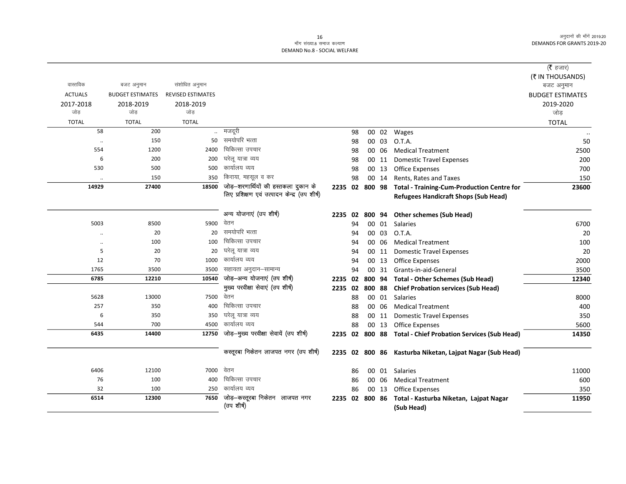### ex;<br>- मॉंग संख्या.8 समाज कल्याण DEMAND No.8 - SOCIAL WELFARE

|                |                         |                          |                                               |         |    |        |       |                                                            | ( $\bar{\tau}$ हजार)    |
|----------------|-------------------------|--------------------------|-----------------------------------------------|---------|----|--------|-------|------------------------------------------------------------|-------------------------|
|                |                         |                          |                                               |         |    |        |       |                                                            | (₹ IN THOUSANDS)        |
| वास्तविक       | बजट अनुमान              | संशोधित अनुमान           |                                               |         |    |        |       |                                                            | बजट अनुमान              |
| <b>ACTUALS</b> | <b>BUDGET ESTIMATES</b> | <b>REVISED ESTIMATES</b> |                                               |         |    |        |       |                                                            | <b>BUDGET ESTIMATES</b> |
| 2017-2018      | 2018-2019               | 2018-2019                |                                               |         |    |        |       |                                                            | 2019-2020               |
| जोड            | जोड                     | जोड                      |                                               |         |    |        |       |                                                            | जोड                     |
| <b>TOTAL</b>   | <b>TOTAL</b>            | <b>TOTAL</b>             |                                               |         |    |        |       |                                                            | <b>TOTAL</b>            |
| 58             | 200                     |                          | मजदूरी                                        |         | 98 |        |       | 00 02 Wages                                                |                         |
| $\ddotsc$      | 150                     | 50                       | समयोपरि भत्ता                                 |         | 98 |        | 00 03 | O.T.A.                                                     | 50                      |
| 554            | 1200                    | 2400                     | चिकित्सा उपचार                                |         | 98 |        | 00 06 | <b>Medical Treatment</b>                                   | 2500                    |
| 6              | 200                     | 200                      | घरेलू यात्रा व्यय                             |         | 98 |        | 00 11 | <b>Domestic Travel Expenses</b>                            | 200                     |
| 530            | 500                     | 500                      | कार्यालय व्यय                                 |         | 98 |        | 00 13 | Office Expenses                                            | 700                     |
|                | 150                     | 350                      | किराया, महसूल व कर                            |         | 98 |        | 00 14 | Rents, Rates and Taxes                                     | 150                     |
| 14929          | 27400                   | 18500                    | जोड़-शरणार्थियों की हस्तकला दुकान के          |         |    |        |       | 2235 02 800 98 Total - Training-Cum-Production Centre for  | 23600                   |
|                |                         |                          | लिए प्रशिक्षण एवं उत्पादन केन्द्र (उप शीर्ष)  |         |    |        |       | <b>Refugees Handicraft Shops (Sub Head)</b>                |                         |
|                |                         |                          |                                               |         |    |        |       |                                                            |                         |
|                |                         |                          | अन्य योजनाएं (उप शीर्ष)                       | 2235 02 |    |        |       | 800 94 Other schemes (Sub Head)                            |                         |
| 5003           | 8500                    | 5900                     | वेतन                                          |         | 94 |        | 00 01 | Salaries                                                   | 6700                    |
|                | 20                      | 20                       | समयोपरि भत्ता                                 |         | 94 |        | 00 03 | O.T.A.                                                     | 20                      |
|                | 100                     | 100                      | चिकित्सा उपचार                                |         | 94 |        | 00 06 | <b>Medical Treatment</b>                                   | 100                     |
| 5              | 20                      | 20                       | घरेलू यात्रा व्यय                             |         | 94 |        | 00 11 | <b>Domestic Travel Expenses</b>                            | 20                      |
| 12             | 70                      | 1000                     | कार्यालय व्यय                                 |         | 94 |        | 00 13 | <b>Office Expenses</b>                                     | 2000                    |
| 1765           | 3500                    | 3500                     | सहायता अनुदान-सामान्य                         |         | 94 |        | 00 31 | Grants-in-aid-General                                      | 3500                    |
| 6785           | 12210                   | 10540                    | जोड़-अन्य योजनाएं (उप शीर्ष)                  | 2235 02 |    |        |       | 800 94 Total - Other Schemes (Sub Head)                    | 12340                   |
|                |                         |                          | मुख्य परवीक्षा सेवाएं (उप शीर्ष)              | 2235 02 |    | 800 88 |       | <b>Chief Probation services (Sub Head)</b>                 |                         |
| 5628           | 13000                   | 7500                     | वेतन                                          |         | 88 |        |       | 00 01 Salaries                                             | 8000                    |
| 257            | 350                     | 400                      | चिकित्सा उपचार                                |         | 88 |        | 00 06 | <b>Medical Treatment</b>                                   | 400                     |
| 6              | 350                     | 350                      | घरेलू यात्रा व्यय                             |         | 88 |        | 00 11 | <b>Domestic Travel Expenses</b>                            | 350                     |
| 544            | 700                     | 4500                     | कार्यालय व्यय                                 |         | 88 |        | 00 13 | <b>Office Expenses</b>                                     | 5600                    |
| 6435           | 14400                   | 12750                    | जोड़-मुख्य परवीक्षा सेवायें (उप शीर्ष)        |         |    |        |       | 2235 02 800 88 Total - Chief Probation Services (Sub Head) | 14350                   |
|                |                         |                          |                                               |         |    |        |       |                                                            |                         |
|                |                         |                          | कस्तूरबा निकेतन लाजपत नगर (उप शीर्ष)          |         |    |        |       | 2235 02 800 86 Kasturba Niketan, Lajpat Nagar (Sub Head)   |                         |
|                |                         |                          | वेतन                                          |         |    |        |       |                                                            |                         |
| 6406           | 12100                   | 7000                     | चिकित्सा उपचार                                |         | 86 |        | 00 01 | Salaries                                                   | 11000                   |
| 76             | 100                     | 400                      | कार्यालय व्यय                                 |         | 86 |        | 00 06 | <b>Medical Treatment</b>                                   | 600                     |
| 32             | 100                     | 250                      |                                               |         | 86 |        | 00 13 | <b>Office Expenses</b>                                     | 350                     |
| 6514           | 12300                   | 7650                     | जोड़–कस्तूरबा निकेतन) लाजपत नगर<br>(उप शीर्ष) | 2235 02 |    | 800 86 |       | Total - Kasturba Niketan, Lajpat Nagar<br>(Sub Head)       | 11950                   |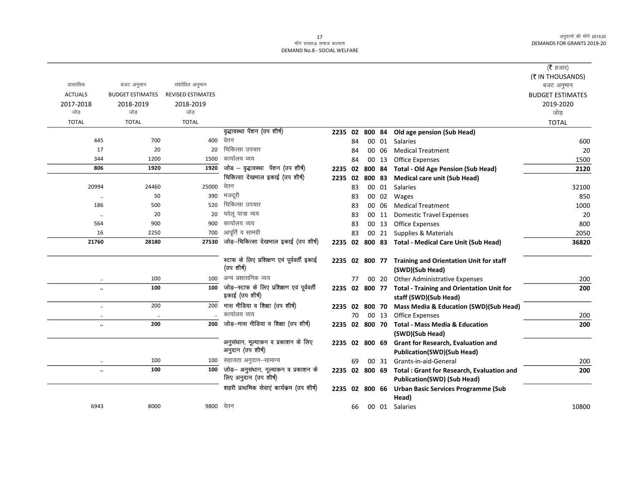## DEMAND No.8 - SOCIAL WELFARE

|                      |                         |                          |                                                                |                |    |       |                                                           | ( $\bar{\tau}$ हजार)           |
|----------------------|-------------------------|--------------------------|----------------------------------------------------------------|----------------|----|-------|-----------------------------------------------------------|--------------------------------|
| वास्तविक             | बजट अनुमान              | संशोधित अनुमान           |                                                                |                |    |       |                                                           | (₹ IN THOUSANDS)<br>बजट अनुमान |
| <b>ACTUALS</b>       | <b>BUDGET ESTIMATES</b> | <b>REVISED ESTIMATES</b> |                                                                |                |    |       |                                                           | <b>BUDGET ESTIMATES</b>        |
| 2017-2018            | 2018-2019               | 2018-2019                |                                                                |                |    |       |                                                           | 2019-2020                      |
| जोड                  | जोड                     | जोड                      |                                                                |                |    |       |                                                           | जोड़                           |
| <b>TOTAL</b>         | <b>TOTAL</b>            | <b>TOTAL</b>             |                                                                |                |    |       |                                                           | <b>TOTAL</b>                   |
|                      |                         |                          | वृद्धावस्था पेंशन (उप शीर्ष)                                   |                |    |       | 2235 02 800 84 Old age pension (Sub Head)                 |                                |
| 445                  | 700                     | 400                      | वेतन                                                           |                | 84 |       | 00 01 Salaries                                            | 600                            |
| 17                   | 20                      | 20                       | चिकित्सा उपचार                                                 |                | 84 | 00 06 | <b>Medical Treatment</b>                                  | 20                             |
| 344                  | 1200                    | 1500                     | कार्यालय व्यय                                                  |                | 84 | 00 13 | <b>Office Expenses</b>                                    | 1500                           |
| 806                  | 1920                    | 1920                     | जोड – वृद्धावस्था  पेंशन (उप शीर्ष)                            | 2235 02        |    |       | 800 84 Total - Old Age Pension (Sub Head)                 | 2120                           |
|                      |                         |                          | चिकित्सा देखभाल इकाई (उप शीर्ष)                                | 2235 02        |    |       | 800 83 Medical care unit (Sub Head)                       |                                |
| 20994                | 24460                   | 25000                    | वेतन                                                           |                | 83 |       | 00 01 Salaries                                            | 32100                          |
| $\cdot\cdot$         | 50                      | 390                      | मजदूरी                                                         |                | 83 |       | 00 02 Wages                                               | 850                            |
| 186                  | 500                     | 520                      | चिकित्सा उपचार                                                 |                | 83 | 00 06 | <b>Medical Treatment</b>                                  | 1000                           |
| $\ldots$             | 20                      | 20                       | घरेल यात्रा व्यय                                               |                | 83 | 00 11 | <b>Domestic Travel Expenses</b>                           | 20                             |
| 564                  | 900                     | 900                      | कार्यालय व्यय                                                  |                | 83 | 00 13 | Office Expenses                                           | 800                            |
| 16                   | 2250                    | 700                      | आपूर्ति व सामग्री                                              |                | 83 |       | 00 21 Supplies & Materials                                | 2050                           |
| 21760                | 28180                   | 27530                    | जोड़-चिकित्सा देखभाल इकाई (उप शीर्ष)                           |                |    |       | 2235 02 800 83 Total - Medical Care Unit (Sub Head)       | 36820                          |
|                      |                         |                          |                                                                |                |    |       |                                                           |                                |
|                      |                         |                          | स्टाफ के लिए प्रशिक्षण एवं पूर्ववर्ती इकाई<br>(उप शीर्ष)       |                |    |       | 2235 02 800 77 Training and Orientation Unit for staff    |                                |
|                      |                         |                          | अन्य प्रशासनिक व्यय                                            |                |    |       | (SWD)(Sub Head)                                           |                                |
| $\ldots$             | 100                     | 100                      |                                                                |                | 77 | 00 20 | <b>Other Administrative Expenses</b>                      | 200                            |
| $\ddotsc$            | 100                     | 100                      | जोड़—स्टाफ के लिए प्रशिक्षण एवं पूर्ववर्ती<br>इकाई (उप शीर्ष)  |                |    |       | 2235 02 800 77 Total - Training and Orientation Unit for  | 200                            |
|                      |                         |                          |                                                                |                |    |       | staff (SWD)(Sub Head)                                     |                                |
| $\ldots$             | 200                     | 200                      | मास मीडिया व शिक्षा (उप शीर्ष)<br>कार्यालय व्यय                |                |    |       | 2235 02 800 70 Mass Media & Education (SWD)(Sub Head)     |                                |
| $\ldots$             | $\ldots$                |                          |                                                                |                | 70 | 00 13 | <b>Office Expenses</b>                                    | 200                            |
|                      | 200                     | 200                      | जोड़-मास मीडिया व शिक्षा (उप शीर्ष)                            | 2235 02 800 70 |    |       | <b>Total - Mass Media &amp; Education</b>                 | 200                            |
|                      |                         |                          |                                                                |                |    |       | (SWD)(Sub Head)                                           |                                |
|                      |                         |                          | अनुसंधान, मूल्याकन व प्रकाशन के लिए<br>अनुदान (उप शीर्ष)       | 2235 02 800 69 |    |       | Grant for Research, Evaluation and                        |                                |
|                      |                         |                          |                                                                |                |    |       | <b>Publication(SWD)(Sub Head)</b>                         |                                |
| $\ddotsc$            | 100                     | 100                      | सहायता अनुदान–सामान्य                                          |                | 69 | 00 31 | Grants-in-aid-General                                     | 200                            |
| $\ddot{\phantom{a}}$ | 100                     | 100                      | जोड़— अनुसंधान, मूल्याकन व प्रकाशन के<br>लिए अनुदान (उप शीर्ष) |                |    |       | 2235 02 800 69 Total : Grant for Research, Evaluation and | 200                            |
|                      |                         |                          |                                                                |                |    |       | <b>Publication(SWD) (Sub Head)</b>                        |                                |
|                      |                         |                          | शहरी प्राथमिक सेवाएं कार्यक्रम (उप शीर्ष)                      |                |    |       | 2235 02 800 66 Urban Basic Services Programme (Sub        |                                |
|                      |                         |                          |                                                                |                |    |       | Head)                                                     |                                |
| 6943                 | 8000                    | 9800 वेतन                |                                                                |                | 66 |       | 00 01 Salaries                                            | 10800                          |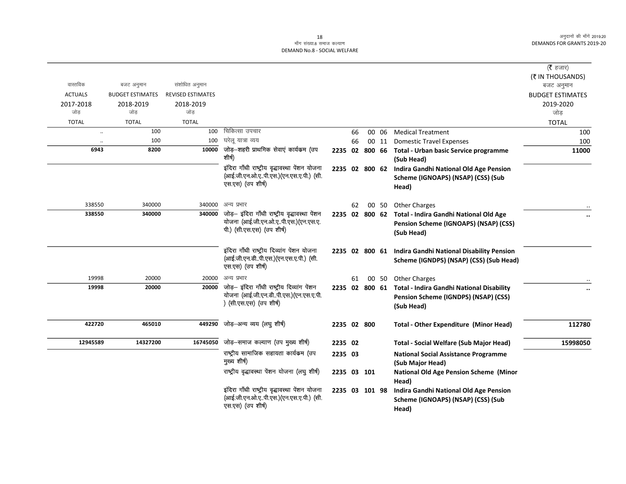### ्च<br>माँग संख्या.8 समाज कल्याण DEMAND No.8 - SOCIAL WELFARE

|                      |                         |                          |                                                                                      |                |          |                |                                                                    | (रै हजार)               |
|----------------------|-------------------------|--------------------------|--------------------------------------------------------------------------------------|----------------|----------|----------------|--------------------------------------------------------------------|-------------------------|
| वास्तविक             |                         |                          |                                                                                      |                |          |                |                                                                    | (₹ IN THOUSANDS)        |
|                      | बजट अनुमान              | संशोधित अनुमान           |                                                                                      |                |          |                |                                                                    | बजट अनुमान              |
| <b>ACTUALS</b>       | <b>BUDGET ESTIMATES</b> | <b>REVISED ESTIMATES</b> |                                                                                      |                |          |                |                                                                    | <b>BUDGET ESTIMATES</b> |
| 2017-2018<br>जोड     | 2018-2019<br>जोड        | 2018-2019<br>जोड         |                                                                                      |                |          |                |                                                                    | 2019-2020<br>जोड़       |
| <b>TOTAL</b>         | <b>TOTAL</b>            | <b>TOTAL</b>             |                                                                                      |                |          |                |                                                                    |                         |
|                      | 100                     | 100                      | चिकित्सा उपचार                                                                       |                |          |                | <b>Medical Treatment</b>                                           | <b>TOTAL</b>            |
| $\ddot{\phantom{a}}$ | 100                     | 100                      | घरेलू यात्रा व्यय                                                                    |                | 66<br>66 | 00 06<br>00 11 | <b>Domestic Travel Expenses</b>                                    | 100<br>100              |
| $\ddotsc$<br>6943    | 8200                    | 10000                    | जोड़–शहरी प्राथमिक सेवाएं कार्यकम (उप                                                |                |          |                |                                                                    |                         |
|                      |                         |                          | शीर्ष)                                                                               |                |          |                | 2235 02 800 66 Total - Urban basic Service programme<br>(Sub Head) | 11000                   |
|                      |                         |                          | इंदिरा गाँधी राष्ट्रीय वृद्धावस्था पेंशन योजना                                       | 2235 02 800 62 |          |                | Indira Gandhi National Old Age Pension                             |                         |
|                      |                         |                          | (आई.जी.एन.ओ.एपी.एस.)(एन.एस.ए.पी.) (सी.<br>एस.एस) (उप शीर्ष)                          |                |          |                | Scheme (IGNOAPS) (NSAP) (CSS) (Sub                                 |                         |
|                      |                         |                          |                                                                                      |                |          |                | Head)                                                              |                         |
|                      |                         |                          |                                                                                      |                |          |                |                                                                    |                         |
| 338550               | 340000                  | 340000                   | अन्य प्रभार                                                                          |                | 62       |                | 00 50 Other Charges                                                |                         |
| 338550               | 340000                  | 340000                   | जोड़- इंदिरा गाँधी राष्ट्रीय वृद्धावस्था पेंशन                                       | 2235 02 800 62 |          |                | Total - Indira Gandhi National Old Age                             |                         |
|                      |                         |                          | योजना (आई.जी.एन.ओ.एपी.एस.) (एन.एस.ए.<br>पी.) (सी.एस.एस) (उप शीर्ष)                   |                |          |                | Pension Scheme (IGNOAPS) (NSAP) (CSS)                              |                         |
|                      |                         |                          |                                                                                      |                |          |                | (Sub Head)                                                         |                         |
|                      |                         |                          |                                                                                      |                |          |                |                                                                    |                         |
|                      |                         |                          | इंदिरा गाँधी राष्ट्रीय दिव्यांग पेंशन योजना<br>(आई.जी.एन.डीपी.एस.)(एन.एस.ए.पी.) (सी. | 2235 02 800 61 |          |                | <b>Indira Gandhi National Disability Pension</b>                   |                         |
|                      |                         |                          | एस.एस) (उप शीर्ष)                                                                    |                |          |                | Scheme (IGNDPS) (NSAP) (CSS) (Sub Head)                            |                         |
|                      |                         |                          |                                                                                      |                |          |                |                                                                    |                         |
| 19998                | 20000                   | 20000                    | अन्य प्रभार<br>जोड़- इंदिरा गाँधी राष्ट्रीय दिव्यांग पेंशन                           |                | 61       |                | 00 50 Other Charges                                                |                         |
| 19998                | 20000                   | 20000                    | योजना (आई.जी.एन.डीपी.एस.)(एन.एस.ए.पी.                                                |                |          |                | 2235 02 800 61 Total - Indira Gandhi National Disability           |                         |
|                      |                         |                          | ) (सी.एस.एस) (उप शीर्ष)                                                              |                |          |                | Pension Scheme (IGNDPS) (NSAP) (CSS)                               |                         |
|                      |                         |                          |                                                                                      |                |          |                | (Sub Head)                                                         |                         |
| 422720               | 465010                  | 449290                   | जोड़-अन्य व्यय (लघु शीर्ष)                                                           | 2235 02 800    |          |                |                                                                    | 112780                  |
|                      |                         |                          |                                                                                      |                |          |                | <b>Total - Other Expenditure (Minor Head)</b>                      |                         |
| 12945589             | 14327200                | 16745050                 | जोड़–समाज कल्याण (उप मुख्य शीर्ष)                                                    | 2235 02        |          |                | <b>Total - Social Welfare (Sub Major Head)</b>                     | 15998050                |
|                      |                         |                          | राष्ट्रीय सामाजिक सहायता कार्यकम (उप                                                 | 2235 03        |          |                | <b>National Social Assistance Programme</b>                        |                         |
|                      |                         |                          | मुख्य शीर्ष)                                                                         |                |          |                | (Sub Major Head)                                                   |                         |
|                      |                         |                          | राष्ट्रीय वृद्धावस्था पेंशन योजना (लघु शीर्ष)                                        | 2235 03 101    |          |                | <b>National Old Age Pension Scheme (Minor</b>                      |                         |
|                      |                         |                          |                                                                                      |                |          |                | Head)                                                              |                         |
|                      |                         |                          | इंदिरा गाँधी राष्ट्रीय वृद्धावस्था पेंशन योजना                                       | 2235 03 101 98 |          |                | <b>Indira Gandhi National Old Age Pension</b>                      |                         |
|                      |                         |                          | (आई.जी.एन.ओ.एपी.एस.) (एन.एस.ए.पी.) (सी.                                              |                |          |                | Scheme (IGNOAPS) (NSAP) (CSS) (Sub                                 |                         |
|                      |                         |                          | एस.एस) (उप शीर्ष)                                                                    |                |          |                | Head)                                                              |                         |
|                      |                         |                          |                                                                                      |                |          |                |                                                                    |                         |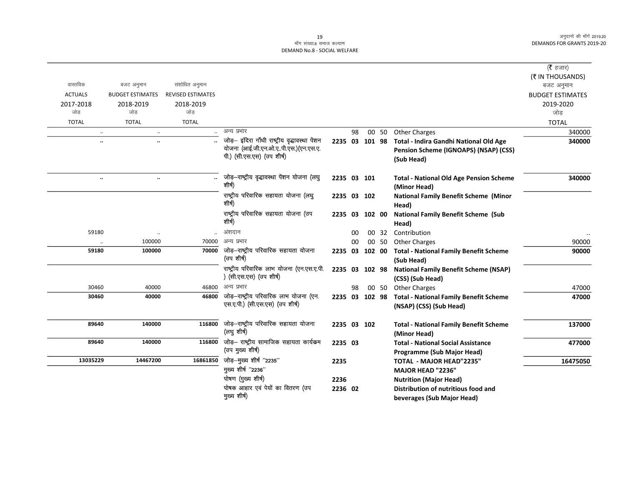#### 19 ्र<br>माँग संख्या.8 समाज कल्याण DEMAND No.8 - SOCIAL WELFARE

|                      |                         |                          |                                                                                                                     |                |    |        |       |                                                                                               | ( <b>रै</b> हजार)       |
|----------------------|-------------------------|--------------------------|---------------------------------------------------------------------------------------------------------------------|----------------|----|--------|-------|-----------------------------------------------------------------------------------------------|-------------------------|
|                      |                         |                          |                                                                                                                     |                |    |        |       |                                                                                               | (₹ IN THOUSANDS)        |
| वास्तविक             | बजट अनुमान              | संशोधित अनुमान           |                                                                                                                     |                |    |        |       |                                                                                               | बजट अनुमान              |
| <b>ACTUALS</b>       | <b>BUDGET ESTIMATES</b> | <b>REVISED ESTIMATES</b> |                                                                                                                     |                |    |        |       |                                                                                               | <b>BUDGET ESTIMATES</b> |
| 2017-2018<br>जोड     | 2018-2019<br>जोड        | 2018-2019<br>जोड         |                                                                                                                     |                |    |        |       |                                                                                               | 2019-2020<br>जोड़       |
| <b>TOTAL</b>         | <b>TOTAL</b>            | <b>TOTAL</b>             |                                                                                                                     |                |    |        |       |                                                                                               | <b>TOTAL</b>            |
| $\ddotsc$            | $\ldots$                |                          | अन्य प्रभार                                                                                                         |                | 98 |        | 00 50 | <b>Other Charges</b>                                                                          | 340000                  |
| $\ddot{\phantom{a}}$ | $\ldots$                |                          | जोड़- इंदिरा गाँधी राष्ट्रीय वृद्धावस्था पेंशन<br>योजना (आई.जी.एन.ओ.एपी.एस.)(एन.एस.ए.<br>पी.) (सी.एस.एस) (उप शीर्ष) | 2235 03 101 98 |    |        |       | Total - Indira Gandhi National Old Age<br>Pension Scheme (IGNOAPS) (NSAP) (CSS)<br>(Sub Head) | 340000                  |
| $\ddot{\phantom{0}}$ | $\ldots$                |                          | जोड़-राष्ट्रीय वृद्धावस्था पेंशन योजना (लघु<br>शीर्ष)                                                               | 2235 03 101    |    |        |       | <b>Total - National Old Age Pension Scheme</b><br>(Minor Head)                                | 340000                  |
|                      |                         |                          | राष्ट्रीय परिवारिक सहायता योजना (लघु<br>शीर्ष)                                                                      | 2235 03 102    |    |        |       | <b>National Family Benefit Scheme (Minor</b><br>Head)                                         |                         |
|                      |                         |                          | राष्ट्रीय परिवारिक सहायता योजना (उप<br>शीर्ष)                                                                       | 2235 03        |    | 102 00 |       | <b>National Family Benefit Scheme (Sub</b><br>Head)                                           |                         |
| 59180                |                         |                          | अंशदान                                                                                                              |                | 00 |        | 00 32 | Contribution                                                                                  |                         |
|                      | 100000                  | 70000                    | अन्य प्रभार                                                                                                         |                | 00 |        | 00 50 | <b>Other Charges</b>                                                                          | 90000                   |
| 59180                | 100000                  | 70000                    | जोड़—राष्ट्रीय परिवारिक सहायता योजना<br>(उप शीर्ष)                                                                  | 2235 03        |    | 102 00 |       | <b>Total - National Family Benefit Scheme</b><br>(Sub Head)                                   | 90000                   |
|                      |                         |                          | राष्ट्रीय परिवारिक लाभ योजना (एन.एस.ए.पी.<br>) (सी.एस.एस) (उप शीर्ष)                                                | 2235 03        |    | 102 98 |       | <b>National Family Benefit Scheme (NSAP)</b><br>(CSS) (Sub Head)                              |                         |
| 30460                | 40000                   | 46800                    | अन्य प्रभार                                                                                                         |                | 98 |        | 00 50 | <b>Other Charges</b>                                                                          | 47000                   |
| 30460                | 40000                   | 46800                    | जोड़-राष्ट्रीय परिवारिक लाभ योजना (एन.<br>एस.ए.पी.) (सी.एस.एस) (उप शीर्ष)                                           | 2235 03 102 98 |    |        |       | <b>Total - National Family Benefit Scheme</b><br>(NSAP) (CSS) (Sub Head)                      | 47000                   |
| 89640                | 140000                  | 116800                   | जोड़-राष्ट्रीय परिवारिक सहायता योजना<br>(लघु शीर्ष)                                                                 | 2235 03 102    |    |        |       | <b>Total - National Family Benefit Scheme</b><br>(Minor Head)                                 | 137000                  |
| 89640                | 140000                  | 116800                   | जोड़– राष्ट्रीय सामाजिक सहायता कार्यक्रम<br>(उप मुख्य शीर्ष)                                                        | 2235 03        |    |        |       | <b>Total - National Social Assistance</b><br><b>Programme (Sub Major Head)</b>                | 477000                  |
| 13035229             | 14467200                | 16861850                 | जोड़-मुख्य शीर्ष "2235"                                                                                             | 2235           |    |        |       | <b>TOTAL - MAJOR HEAD"2235"</b>                                                               | 16475050                |
|                      |                         |                          | मुख्य शीर्ष "2236"                                                                                                  |                |    |        |       | MAJOR HEAD "2236"                                                                             |                         |
|                      |                         |                          | पोषण (मुख्य शीर्ष)                                                                                                  | 2236           |    |        |       | <b>Nutrition (Major Head)</b>                                                                 |                         |
|                      |                         |                          | पोषक आहार एवं पेयों का वितरण (उप<br>मुख्य शीर्ष)                                                                    | 2236 02        |    |        |       | Distribution of nutritious food and<br>beverages (Sub Major Head)                             |                         |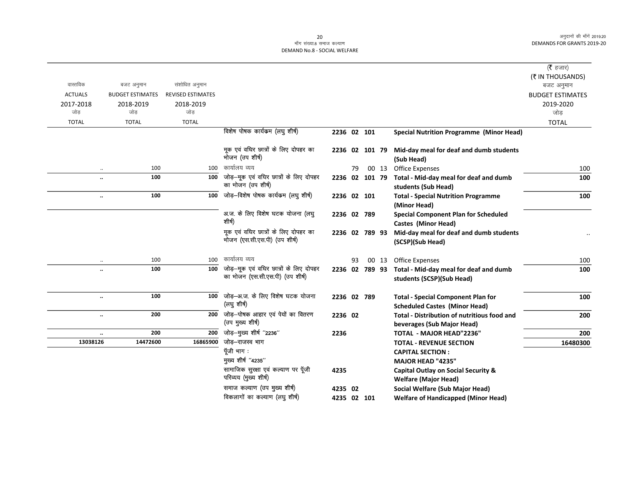#### 20 ek¡x l a[;k-8 lekt dY;k.k DEMAND No.8 - SOCIAL WELFARE

|                      |                             |                          |                                                                            |                |    |       |                                                                                   | ( $\bar{\tau}$ हजार)    |
|----------------------|-----------------------------|--------------------------|----------------------------------------------------------------------------|----------------|----|-------|-----------------------------------------------------------------------------------|-------------------------|
|                      |                             |                          |                                                                            |                |    |       |                                                                                   | (₹ IN THOUSANDS)        |
| वास्तविक             | बजट अनुमान                  | संशोधित अनुमान           |                                                                            |                |    |       |                                                                                   | बजट अनुमान              |
| <b>ACTUALS</b>       | <b>BUDGET ESTIMATES</b>     | <b>REVISED ESTIMATES</b> |                                                                            |                |    |       |                                                                                   | <b>BUDGET ESTIMATES</b> |
| 2017-2018            | 2018-2019                   | 2018-2019                |                                                                            |                |    |       |                                                                                   | 2019-2020               |
| जोड                  | जोड                         | जोड                      |                                                                            |                |    |       |                                                                                   | जोड                     |
| <b>TOTAL</b>         | <b>TOTAL</b>                | <b>TOTAL</b>             |                                                                            |                |    |       |                                                                                   | <b>TOTAL</b>            |
|                      |                             |                          | विशेष पोषक कार्यक्रम (लघु शीर्ष)                                           | 2236 02 101    |    |       | <b>Special Nutrition Programme (Minor Head)</b>                                   |                         |
|                      |                             |                          | मूक एवं वधिर छात्रों के लिए दोपहर का<br>भोजन (उप शीर्ष)                    | 2236 02 101 79 |    |       | Mid-day meal for deaf and dumb students<br>(Sub Head)                             |                         |
|                      | 100                         | 100                      | कार्यालय व्यय                                                              |                | 79 |       | 00 13 Office Expenses                                                             | 100                     |
| $\ddot{\phantom{a}}$ | 100                         | 100                      | जोड़—मूक एवं वधिर छात्रों के लिए दोपहर<br>का भोजन (उप शीर्ष)               | 2236 02 101 79 |    |       | Total - Mid-day meal for deaf and dumb<br>students (Sub Head)                     | 100                     |
|                      | 100<br>$\ddot{\phantom{0}}$ | 100                      | जोड़-विशेष पोषक कार्यक्रम (लघु शीर्ष)                                      | 2236 02 101    |    |       | <b>Total - Special Nutrition Programme</b><br>(Minor Head)                        | 100                     |
|                      |                             |                          | अ.ज. के लिए विशेष घटक योजना (लघु<br>शीर्ष)                                 | 2236 02 789    |    |       | <b>Special Component Plan for Scheduled</b><br><b>Castes (Minor Head)</b>         |                         |
|                      |                             |                          | मूक एवं वधिर छात्रों के लिए दोपहर का<br>भोजन (एस.सी.एस.पी) (उप शीर्ष)      | 2236 02 789 93 |    |       | Mid-day meal for deaf and dumb students<br>(SCSP)(Sub Head)                       |                         |
|                      | 100                         | 100                      | कार्यालय व्यय                                                              |                | 93 | 00 13 | <b>Office Expenses</b>                                                            | 100                     |
| $\ddot{\phantom{a}}$ | 100                         | 100                      | जोड़—मूक एवं वधिर छात्रों के लिए दोपहर<br>का भोजन (एस.सी.एस.पी) (उप शीर्ष) | 2236 02 789 93 |    |       | Total - Mid-day meal for deaf and dumb<br>students (SCSP)(Sub Head)               | 100                     |
| $\ddot{\phantom{a}}$ | 100                         | 100                      | जोड़-अ.ज. के लिए विशेष घटक योजना<br>(लघु शीर्ष)                            | 2236 02 789    |    |       | <b>Total - Special Component Plan for</b><br><b>Scheduled Castes (Minor Head)</b> | 100                     |
| $\ddot{\phantom{a}}$ | 200                         | 200                      | जोड़—पोषक आहार एवं पेयों का वितरण<br>(उप मुख्य शीर्ष)                      | 2236 02        |    |       | <b>Total - Distribution of nutritious food and</b><br>beverages (Sub Major Head)  | 200                     |
| $\ddot{\phantom{a}}$ | 200                         | 200                      | जोड़-मुख्य शीर्ष "2236"                                                    | 2236           |    |       | TOTAL - MAJOR HEAD"2236"                                                          | 200                     |
| 13038126             | 14472600                    | 16865900                 | जोड–राजस्व भाग                                                             |                |    |       | <b>TOTAL - REVENUE SECTION</b>                                                    | 16480300                |
|                      |                             |                          | पूँजी भाग :                                                                |                |    |       | <b>CAPITAL SECTION:</b>                                                           |                         |
|                      |                             |                          | मुख्य शीर्ष "4235"                                                         |                |    |       | MAJOR HEAD "4235"                                                                 |                         |
|                      |                             |                          | सामाजिक सुरक्षा एवं कल्याण पर पूँजी<br>परिव्यय (मुख्य शीर्ष)               | 4235           |    |       | Capital Outlay on Social Security &<br><b>Welfare (Major Head)</b>                |                         |
|                      |                             |                          | समाज कल्याण (उप मुख्य शीर्ष)                                               | 4235 02        |    |       | Social Welfare (Sub Major Head)                                                   |                         |
|                      |                             |                          | विकलागों का कल्याण (लघु शीर्ष)                                             | 4235 02 101    |    |       | <b>Welfare of Handicapped (Minor Head)</b>                                        |                         |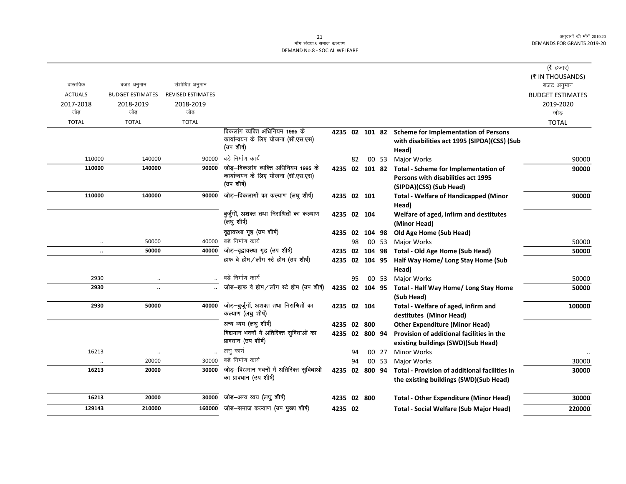## 21 ek¡x l a[;k-8 lekt dY;k.k DEMAND No.8 - SOCIAL WELFARE

|                  |                         |                   |                                                                     |             |    |                |       |                                                      | ( $\bar{\tau}$ हजार)    |
|------------------|-------------------------|-------------------|---------------------------------------------------------------------|-------------|----|----------------|-------|------------------------------------------------------|-------------------------|
|                  |                         |                   |                                                                     |             |    |                |       |                                                      | (₹ IN THOUSANDS)        |
| वास्तविक         | बजट अनुमान              | संशोधित अनुमान    |                                                                     |             |    |                |       |                                                      | बजट अनुमान              |
| <b>ACTUALS</b>   | <b>BUDGET ESTIMATES</b> | REVISED ESTIMATES |                                                                     |             |    |                |       |                                                      | <b>BUDGET ESTIMATES</b> |
| 2017-2018<br>जोड | 2018-2019<br>जोड        | 2018-2019<br>जोड  |                                                                     |             |    |                |       |                                                      | 2019-2020<br>जोड़       |
|                  | <b>TOTAL</b>            | <b>TOTAL</b>      |                                                                     |             |    |                |       |                                                      |                         |
| <b>TOTAL</b>     |                         |                   | विकलांग व्यक्ति अधिनियम 1995 के                                     |             |    |                |       |                                                      | <b>TOTAL</b>            |
|                  |                         |                   | कार्यान्वयन के लिए योजना (सी.एस.एस)                                 |             |    |                |       | 4235 02 101 82 Scheme for Implementation of Persons  |                         |
|                  |                         |                   | (उप शीर्ष)                                                          |             |    |                |       | with disabilities act 1995 (SIPDA)(CSS) (Sub         |                         |
| 110000           | 140000                  | 90000             | बडे निर्माण कार्य                                                   |             | 82 |                | 00 53 | Head)<br><b>Major Works</b>                          | 90000                   |
| 110000           | 140000                  | 90000             | जोड़-विकलांग व्यक्ति अधिनियम 1995 के                                |             |    |                |       | 4235 02 101 82 Total - Scheme for Implementation of  | 90000                   |
|                  |                         |                   | कार्यान्वयन के लिए योजना (सी.एस.एस)                                 |             |    |                |       | Persons with disabilities act 1995                   |                         |
|                  |                         |                   | (उप शीर्ष)                                                          |             |    |                |       | (SIPDA)(CSS) (Sub Head)                              |                         |
| 110000           | 140000                  | 90000             | जोड़-विकलागों का कल्याण (लघु शीर्ष)                                 | 4235 02 101 |    |                |       | <b>Total - Welfare of Handicapped (Minor</b>         | 90000                   |
|                  |                         |                   |                                                                     |             |    |                |       | Head)                                                |                         |
|                  |                         |                   | बुर्जुगों, अशक्त तथा निराश्रितों का कल्याण                          | 4235 02 104 |    |                |       | Welfare of aged, infirm and destitutes               |                         |
|                  |                         |                   | (लघु शीर्ष)                                                         |             |    |                |       | (Minor Head)                                         |                         |
|                  |                         |                   | वृद्वावस्था गृह (उप शीर्ष)                                          | 4235 02     |    | 104 98         |       | Old Age Home (Sub Head)                              |                         |
| $\cdot\cdot$     | 50000                   | 40000             | बड़े निर्माण कार्य                                                  |             | 98 |                | 00 53 | Major Works                                          | 50000                   |
| $\ldots$         | 50000                   | 40000             | जोड़-वृद्वावस्था गृह (उप शीर्ष)                                     | 4235 02     |    | 104 98         |       | Total - Old Age Home (Sub Head)                      | 50000                   |
|                  |                         |                   | हाफ वे होम/लॉंग स्टे होम (उप शीर्ष)                                 |             |    | 4235 02 104 95 |       | Half Way Home/ Long Stay Home (Sub                   |                         |
|                  |                         |                   |                                                                     |             |    |                |       | Head)                                                |                         |
| 2930             |                         |                   | बडे निर्माण कार्य                                                   |             | 95 |                | 00 53 | <b>Major Works</b>                                   | 50000                   |
| 2930             | $\ddot{\phantom{a}}$    |                   | जोड़-हाफ वे होम/लॉंग स्टे होम (उप शीर्ष)                            |             |    |                |       | 4235 02 104 95 Total - Half Way Home/ Long Stay Home | 50000                   |
|                  |                         |                   |                                                                     |             |    |                |       | (Sub Head)                                           |                         |
| 2930             | 50000                   | 40000             | जोड़-बुर्जुगों, अशक्त तथा निराश्रितों का                            | 4235 02 104 |    |                |       | Total - Welfare of aged, infirm and                  | 100000                  |
|                  |                         |                   | कल्याण (लघु शीर्ष)                                                  |             |    |                |       | destitutes (Minor Head)                              |                         |
|                  |                         |                   | अन्य व्यय (लघु शीर्ष)                                               | 4235 02 800 |    |                |       | <b>Other Expenditure (Minor Head)</b>                |                         |
|                  |                         |                   | विद्यमान भवनों में अतिरिक्त सुविधाओं का                             | 4235 02     |    | 800 94         |       | Provision of additional facilities in the            |                         |
|                  |                         |                   | प्राक्धान (उप शीर्ष)                                                |             |    |                |       | existing buildings (SWD)(Sub Head)                   |                         |
| 16213            |                         | $\ddotsc$         | लघु कार्य                                                           |             | 94 |                | 00 27 | Minor Works                                          |                         |
|                  | 20000                   | 30000             | बडे निर्माण कार्य                                                   |             | 94 |                | 00 53 | Major Works                                          | 30000                   |
| 16213            | 20000                   | 30000             | जोड़-विद्यमान भवनों में अतिरिक्त सुविधाओं<br>का प्रावधान (उप शीर्ष) | 4235 02     |    | 800 94         |       | Total - Provision of additional facilities in        | 30000                   |
|                  |                         |                   |                                                                     |             |    |                |       | the existing buildings (SWD)(Sub Head)               |                         |
| 16213            | 20000                   | 30000             | जोड़—अन्य व्यय (लघु शीर्ष)                                          | 4235 02 800 |    |                |       | <b>Total - Other Expenditure (Minor Head)</b>        | 30000                   |
| 129143           | 210000                  |                   | 160000 जोड़–समाज कल्याण (उप मुख्य शीर्ष)                            | 4235 02     |    |                |       | <b>Total - Social Welfare (Sub Major Head)</b>       | 220000                  |
|                  |                         |                   |                                                                     |             |    |                |       |                                                      |                         |